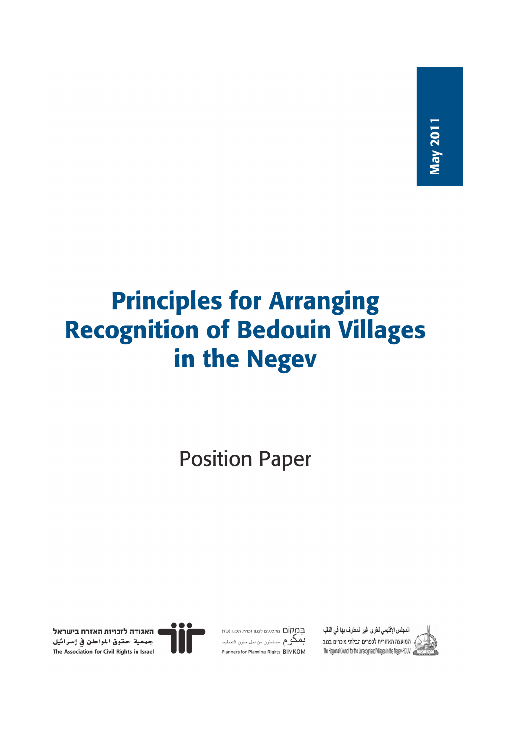# **Principles for Arranging Recognition of Bedouin Villages** in the Negev

**Position Paper** 

האגודה לזכויות האזרח בישראל جمعية حقوق المواطن في إسرائيل The Association for Civil Rights in Israel



במקום <sub>מתכננים למען זכויות תכנון (ע"ר)</sub> بمكوم مخططون من اجل حقوق التخطيط Planners for Planning Rights BIMKOM

المجلس الإقليمي للقرى غير المعترف بها في النقب ּ המועצה האזורית לכפרים הבלתי מוכרים בנגב The Regional Council for the Unrecognized Villages in the Negev-RCUV

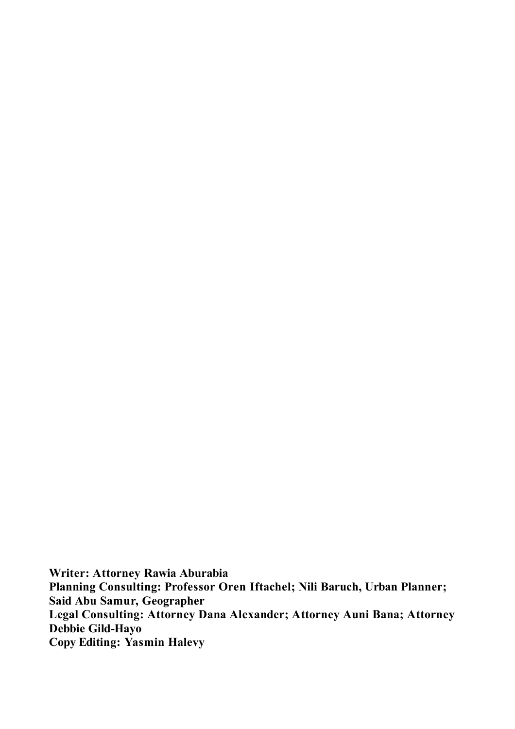**Writer: Attorney Rawia Aburabia Planning Consulting: Professor Oren Iftachel; Nili Baruch, Urban Planner; Said Abu Samur, Geographer Legal Consulting: Attorney Dana Alexander; Attorney Auni Bana; Attorney Debbie Gild-Hayo Copy Editing: Yasmin Halevy**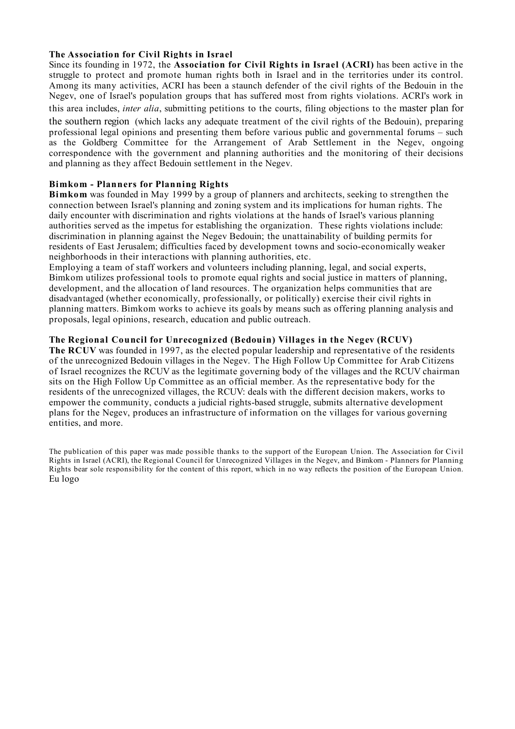#### **The Association for Civil Rights in Israel**

Since its founding in 1972, the **Association for Civil Rights in Israel (ACRI)** has been active in the struggle to protect and promote human rights both in Israel and in the territories under its control. Among its many activities, ACRI has been a staunch defender of the civil rights of the Bedouin in the Negev, one of Israel's population groups that has suffered most from rights violations. ACRI's work in

this area includes, *inter alia*, submitting petitions to the courts, filing objections to the master plan for

the southern region (which lacks any adequate treatment of the civil rights of the Bedouin), preparing professional legal opinions and presenting them before various public and governmental forums – such as the Goldberg Committee for the Arrangement of Arab Settlement in the Negev, ongoing correspondence with the government and planning authorities and the monitoring of their decisions and planning as they affect Bedouin settlement in the Negev.

#### **Bimkom - Planners for Planning Rights**

**Bimkom** was founded in May 1999 by a group of planners and architects, seeking to strengthen the connection between Israel's planning and zoning system and its implications for human rights. The daily encounter with discrimination and rights violations at the hands of Israel's various planning authorities served as the impetus for establishing the organization. These rights violations include: discrimination in planning against the Negev Bedouin; the unattainability of building permits for residents of East Jerusalem; difficulties faced by development towns and socio-economically weaker neighborhoods in their interactions with planning authorities, etc.

Employing a team of staff workers and volunteers including planning, legal, and social experts, Bimkom utilizes professional tools to promote equal rights and social justice in matters of planning, development, and the allocation of land resources. The organization helps communities that are disadvantaged (whether economically, professionally, or politically) exercise their civil rights in planning matters. Bimkom works to achieve its goals by means such as offering planning analysis and proposals, legal opinions, research, education and public outreach.

#### **The Regional Council for Unrecogniz ed (Bedouin) Villages in the Negev (RCUV)**

**The RCUV** was founded in 1997, as the elected popular leadership and representative of the residents of the unrecognized Bedouin villages in the Negev. The High Follow Up Committee for Arab Citizens of Israel recognizes the RCUV as the legitimate governing body of the villages and the RCUV chairman sits on the High Follow Up Committee as an official member. As the representative body for the residents of the unrecognized villages, the RCUV: deals with the different decision makers, works to empower the community, conducts a judicial rights-based struggle, submits alternative development plans for the Negev, produces an infrastructure of information on the villages for various governing entities, and more.

The publication of this paper was made possible thanks to the support of the European Union. The Association for Civil Rights in Israel (ACRI), the Regional Council for Unrecognized Villages in the Negev, and Bimkom - Planners for Planning Rights bear sole responsibility for the content of this report, which in no way reflects the position of the European Union. Eu logo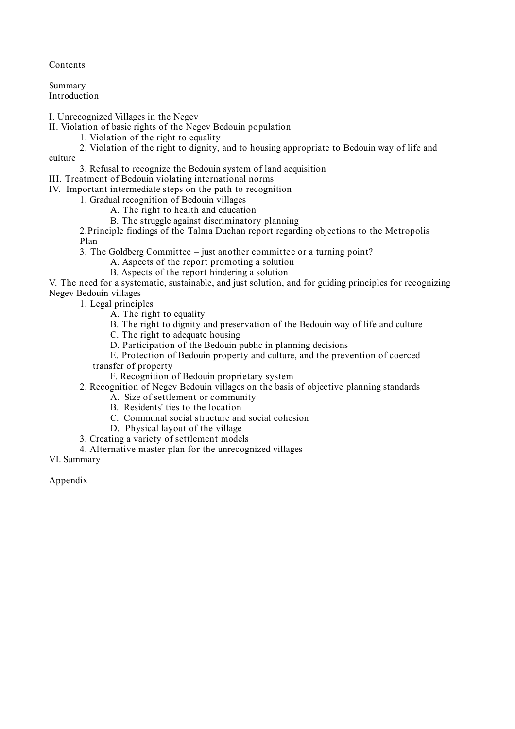Contents

Summary Introduction

I. Unrecognized Villages in the Negev

II. Violation of basic rights of the Negev Bedouin population

1. Violation of the right to equality

2. Violation of the right to dignity, and to housing appropriate to Bedouin way of life and culture

3. Refusal to recognize the Bedouin system of land acquisition

III. Treatment of Bedouin violating international norms

IV. Important intermediate steps on the path to recognition

1. Gradual recognition of Bedouin villages

- A. The right to health and education
- B. The struggle against discriminatory planning

2.Principle findings of the Talma Duchan report regarding objections to the Metropolis Plan

3. The Goldberg Committee – just another committee or a turning point?

A. Aspects of the report promoting a solution

B. Aspects of the report hindering a solution

V. The need for a systematic, sustainable, and just solution, and for guiding principles for recognizing Negev Bedouin villages

1. Legal principles

- A. The right to equality
- B. The right to dignity and preservation of the Bedouin way of life and culture
- C. The right to adequate housing
- D. Participation of the Bedouin public in planning decisions

E. Protection of Bedouin property and culture, and the prevention of coerced transfer of property

F. Recognition of Bedouin proprietary system

## 2. Recognition of Negev Bedouin villages on the basis of objective planning standards

- A. Size of settlement or community
- B. Residents' ties to the location
- C. Communal social structure and social cohesion
- D. Physical layout of the village
- 3. Creating a variety of settlement models
- 4. Alternative master plan for the unrecognized villages

VI. Summary

Appendix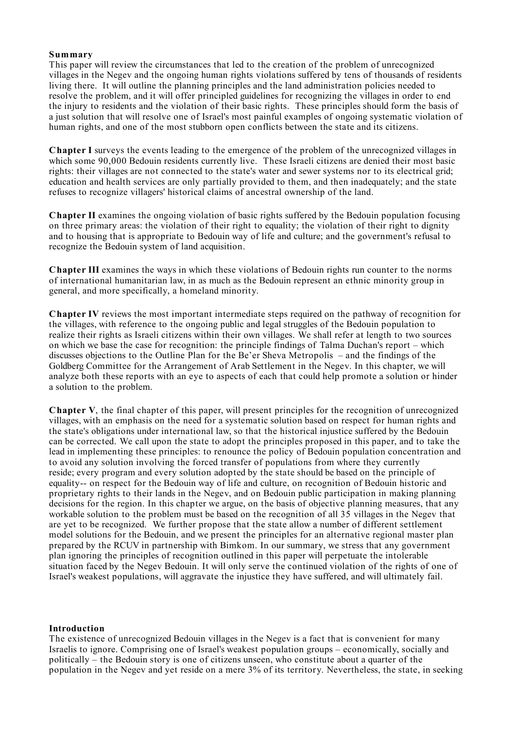#### **Summary**

This paper will review the circumstances that led to the creation of the problem of unrecognized villages in the Negev and the ongoing human rights violations suffered by tens of thousands of residents living there. It will outline the planning principles and the land administration policies needed to resolve the problem, and it will offer principled guidelines for recognizing the villages in order to end the injury to residents and the violation of their basic rights. These principles should form the basis of a just solution that will resolve one of Israel's most painful examples of ongoing systematic violation of human rights, and one of the most stubborn open conflicts between the state and its citizens.

**Chapter I** surveys the events leading to the emergence of the problem of the unrecognized villages in which some 90,000 Bedouin residents currently live. These Israeli citizens are denied their most basic rights: their villages are not connected to the state's water and sewer systems nor to its electrical grid; education and health services are only partially provided to them, and then inadequately; and the state refuses to recognize villagers' historical claims of ancestral ownership of the land.

**Chapter II** examines the ongoing violation of basic rights suffered by the Bedouin population focusing on three primary areas: the violation of their right to equality; the violation of their right to dignity and to housing that is appropriate to Bedouin way of life and culture; and the government's refusal to recognize the Bedouin system of land acquisition.

**Chapter III** examines the ways in which these violations of Bedouin rights run counter to the norms of international humanitarian law, in as much as the Bedouin represent an ethnic minority group in general, and more specifically, a homeland minority.

**Chapter IV** reviews the most important intermediate steps required on the pathway of recognition for the villages, with reference to the ongoing public and legal struggles of the Bedouin population to realize their rights as Israeli citizens within their own villages. We shall refer at length to two sources on which we base the case for recognition: the principle findings of Talma Duchan's report – which discusses objections to the Outline Plan for the Be'er Sheva Metropolis – and the findings of the Goldberg Committee for the Arrangement of Arab Settlement in the Negev. In this chapter, we will analyze both these reports with an eye to aspects of each that could help promote a solution or hinder a solution to the problem.

**Chapter V**, the final chapter of this paper, will present principles for the recognition of unrecognized villages, with an emphasis on the need for a systematic solution based on respect for human rights and the state's obligations under international law, so that the historical injustice suffered by the Bedouin can be corrected. We call upon the state to adopt the principles proposed in this paper, and to take the lead in implementing these principles: to renounce the policy of Bedouin population concentration and to avoid any solution involving the forced transfer of populations from where they currently reside; every program and every solution adopted by the state should be based on the principle of equality-- on respect for the Bedouin way of life and culture, on recognition of Bedouin historic and proprietary rights to their lands in the Negev, and on Bedouin public participation in making planning decisions for the region. In this chapter we argue, on the basis of objective planning measures, that any workable solution to the problem must be based on the recognition of all 35 villages in the Negev that are yet to be recognized. We further propose that the state allow a number of different settlement model solutions for the Bedouin, and we present the principles for an alternative regional master plan prepared by the RCUV in partnership with Bimkom. In our summary, we stress that any government plan ignoring the principles of recognition outlined in this paper will perpetuate the intolerable situation faced by the Negev Bedouin. It will only serve the continued violation of the rights of one of Israel's weakest populations, will aggravate the injustice they have suffered, and will ultimately fail.

#### **Introduction**

The existence of unrecognized Bedouin villages in the Negev is a fact that is convenient for many Israelis to ignore. Comprising one of Israel's weakest population groups – economically, socially and politically – the Bedouin story is one of citizens unseen, who constitute about a quarter of the population in the Negev and yet reside on a mere 3% of its territory. Nevertheless, the state, in seeking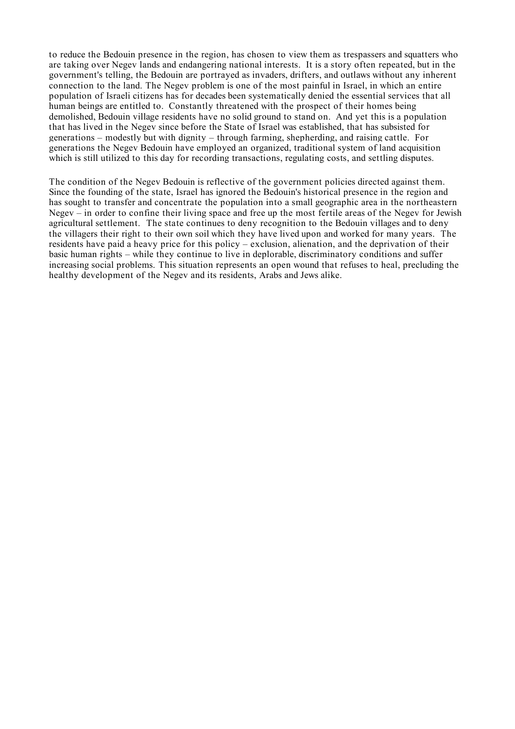to reduce the Bedouin presence in the region, has chosen to view them as trespassers and squatters who are taking over Negev lands and endangering national interests. It is a story often repeated, but in the government's telling, the Bedouin are portrayed as invaders, drifters, and outlaws without any inherent connection to the land. The Negev problem is one of the most painful in Israel, in which an entire population of Israeli citizens has for decades been systematically denied the essential services that all human beings are entitled to. Constantly threatened with the prospect of their homes being demolished, Bedouin village residents have no solid ground to stand on. And yet this is a population that has lived in the Negev since before the State of Israel was established, that has subsisted for generations – modestly but with dignity – through farming, shepherding, and raising cattle. For generations the Negev Bedouin have employed an organized, traditional system of land acquisition which is still utilized to this day for recording transactions, regulating costs, and settling disputes.

The condition of the Negev Bedouin is reflective of the government policies directed against them. Since the founding of the state, Israel has ignored the Bedouin's historical presence in the region and has sought to transfer and concentrate the population into a small geographic area in the northeastern Negev – in order to confine their living space and free up the most fertile areas of the Negev for Jewish agricultural settlement. The state continues to deny recognition to the Bedouin villages and to deny the villagers their right to their own soil which they have lived upon and worked for many years. The residents have paid a heavy price for this policy – exclusion, alienation, and the deprivation of their basic human rights – while they continue to live in deplorable, discriminatory conditions and suffer increasing social problems. This situation represents an open wound that refuses to heal, precluding the healthy development of the Negev and its residents, Arabs and Jews alike.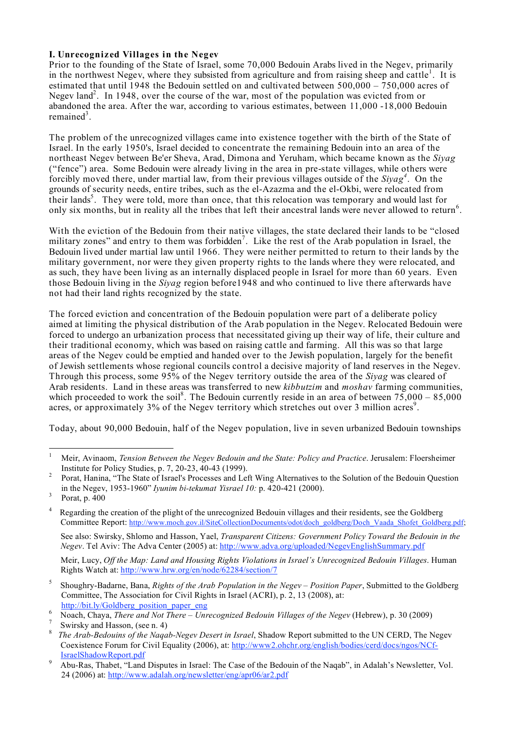## **I. Unrecogniz ed Villages in the Negev**

Prior to the founding of the State of Israel, some 70,000 Bedouin Arabs lived in the Negev, primarily in the northwest Negev, where they subsisted from agriculture and from raising sheep and cattle<sup>1</sup>. It is estimated that until 1948 the Bedouin settled on and cultivated between 500,000 – 750,000 acres of Negev land<sup>2</sup>. In 1948, over the course of the war, most of the population was evicted from or abandoned the area. After the war, according to various estimates, between 11,000 -18,000 Bedouin remained<sup>3</sup>.

The problem of the unrecognized villages came into existence together with the birth of the State of Israel. In the early 1950's, Israel decided to concentrate the remaining Bedouin into an area of the northeast Negev between Be'er Sheva, Arad, Dimona and Yeruham, which became known as the *Siyag* ("fence") area. Some Bedouin were already living in the area in pre-state villages, while others were forcibly moved there, under martial law, from their previous villages outside of the *Siyag 4* . On the grounds of security needs, entire tribes, such as the el-Azazma and the el-Okbi, were relocated from their lands 5 . They were told, more than once, that this relocation was temporary and would last for only six months, but in reality all the tribes that left their ancestral lands were never allowed to return<sup>6</sup>.

With the eviction of the Bedouin from their native villages, the state declared their lands to be "closed military zones" and entry to them was forbidden<sup>7</sup>. Like the rest of the Arab population in Israel, the Bedouin lived under martial law until 1966. They were neither permitted to return to their lands by the military government, nor were they given property rights to the lands where they were relocated, and as such, they have been living as an internally displaced people in Israel for more than 60 years. Even those Bedouin living in the *Siyag* region before1948 and who continued to live there afterwards have not had their land rights recognized by the state.

The forced eviction and concentration of the Bedouin population were part of a deliberate policy aimed at limiting the physical distribution of the Arab population in the Negev. Relocated Bedouin were forced to undergo an urbanization process that necessitated giving up their way of life, their culture and their traditional economy, which was based on raising cattle and farming. All this was so that large areas of the Negev could be emptied and handed over to the Jewish population, largely for the benefit of Jewish settlements whose regional councils control a decisive majority of land reserves in the Negev. Through this process, some 95% of the Negev territory outside the area of the *Siyag* was cleared of Arab residents. Land in these areas was transferred to new *kibbutzim* and *moshav* farming communities, which proceeded to work the soil<sup>8</sup>. The Bedouin currently reside in an area of between  $75,000 - 85,000$ acres, or approximately 3% of the Negev territory which stretches out over 3 million acres<sup>9</sup>.

Today, about 90,000 Bedouin, half of the Negev population, live in seven urbanized Bedouin townships

<sup>4</sup> Regarding the creation of the plight of the unrecognized Bedouin villages and their residents, see the Goldberg Committee Report: http://www.moch.gov.il/SiteCollectionDocuments/odot/doch\_goldberg/Doch\_Vaada\_Shofet\_Goldberg.pdf;

See also: Swirsky, Shlomo and Hasson, Yael, *Transparent Citizens: Government Policy Toward the Bedouin in the Negev*. Tel Aviv: The Adva Center (2005) at: http://www.adva.org/uploaded/NegevEnglishSummary.pdf

Meir, Lucy, *Off the Map: Land and Housing Rights Violations in Israel's Unrecognized Bedouin Villages*. Human Rights Watch at: http://www.hrw.org/en/node/62284/section/7

 <sup>1</sup> Meir, Avinaom, *Tension Between the Negev Bedouin and the State: Policy and Practice*. Jerusalem: Floersheimer Institute for Policy Studies, p. 7, 20-23, 40-43 (1999). <sup>2</sup> Porat, Hanina, "The State of Israel's Processes and Left Wing Alternatives to the Solution of the Bedouin Question

in the Negev, 1953-1960" *Iyunim bi-tekumat Yisrael 10:* p. 420-421 (2000). <sup>3</sup> Porat, p. <sup>400</sup>

<sup>5</sup> Shoughry-Badarne, Bana, *Rights of the Arab Population in the Negev – Position Paper*, Submitted to the Goldberg Committee, The Association for Civil Rights in Israel (ACRI), p. 2, 13 (2008), at:

<sup>&</sup>lt;sup>6</sup>  $\frac{\text{http://bit.ly/Goldberg position paper eng}}{\text{Noach, Chaya, There and Not There} - \text{Unrecognized Bedouin Villages of the Neger}$  (Hebrew), p. 30 (2009)<br><sup>7</sup> Swirsky and Hasson, (see n. 4)<br><sup>8</sup> *The Arab-Bedouins of the Nagab-Negev Desert in Israel*, Shadow Report submitted to the UN CERD, The Neg Coexistence Forum for Civil Equality (2006), at: http://www2.ohchr.org/english/bodies/cerd/docs/ngos/NCf-

IsraelShadowReport.pdf<br>Abu-Ras, Thabet, "Land Disputes in Israel: The Case of the Bedouin of the Naqab", in Adalah's Newsletter, Vol. 24 (2006) at: http://www.adalah.org/newsletter/eng/apr06/ar2.pdf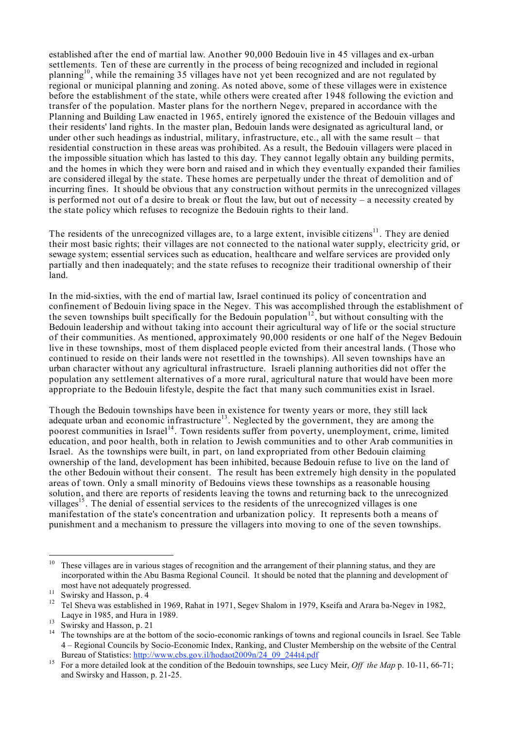established after the end of martial law. Another 90,000 Bedouin live in 45 villages and ex-urban settlements. Ten of these are currently in the process of being recognized and included in regional planning<sup>10</sup>, while the remaining 35 villages have not yet been recognized and are not regulated by regional or municipal planning and zoning. As noted above, some of these villages were in existence before the establishment of the state, while others were created after 1948 following the eviction and transfer of the population. Master plans for the northern Negev, prepared in accordance with the Planning and Building Law enacted in 1965, entirely ignored the existence of the Bedouin villages and their residents' land rights. In the master plan, Bedouin lands were designated as agricultural land, or under other such headings as industrial, military, infrastructure, etc., all with the same result – that residential construction in these areas was prohibited. As a result, the Bedouin villagers were placed in the impossible situation which has lasted to this day. They cannot legally obtain any building permits, and the homes in which they were born and raised and in which they eventually expanded their families are considered illegal by the state. These homes are perpetually under the threat of demolition and of incurring fines. It should be obvious that any construction without permits in the unrecognized villages is performed not out of a desire to break or flout the law, but out of necessity – a necessity created by the state policy which refuses to recognize the Bedouin rights to their land.

The residents of the unrecognized villages are, to a large extent, invisible citizens<sup>11</sup>. They are denied their most basic rights; their villages are not connected to the national water supply, electricity grid, or sewage system; essential services such as education, healthcare and welfare services are provided only partially and then inadequately; and the state refuses to recognize their traditional ownership of their land.

In the mid-sixties, with the end of martial law, Israel continued its policy of concentration and confinement of Bedouin living space in the Negev. This was accomplished through the establishment of the seven townships built specifically for the Bedouin population<sup>12</sup>, but without consulting with the Bedouin leadership and without taking into account their agricultural way of life or the social structure of their communities. As mentioned, approximately 90,000 residents or one half of the Negev Bedouin live in these townships, most of them displaced people evicted from their ancestral lands. (Those who continued to reside on their lands were not resettled in the townships). All seven townships have an urban character without any agricultural infrastructure. Israeli planning authorities did not offer the population any settlement alternatives of a more rural, agricultural nature that would have been more appropriate to the Bedouin lifestyle, despite the fact that many such communities exist in Israel.

Though the Bedouin townships have been in existence for twenty years or more, they still lack adequate urban and economic infrastructure<sup>13</sup>. Neglected by the government, they are among the poorest communities in Israel<sup>14</sup>. Town residents suffer from poverty, unemployment, crime, limited education, and poor health, both in relation to Jewish communities and to other Arab communities in Israel. As the townships were built, in part, on land expropriated from other Bedouin claiming ownership of the land, development has been inhibited, because Bedouin refuse to live on the land of the other Bedouin without their consent. The result has been extremely high density in the populated areas of town. Only a small minority of Bedouins views these townships as a reasonable housing solution, and there are reports of residents leaving the towns and returning back to the unrecognized villages<sup>15</sup> . The denial of essential services to the residents of the unrecognized villages is one manifestation of the state's concentration and urbanization policy. It represents both a means of punishment and a mechanism to pressure the villagers into moving to one of the seven townships.

 $10$  These villages are in various stages of recognition and the arrangement of their planning status, and they are incorporated within the Abu Basma Regional Council. It should be noted that the planning and development of most have not adequately progressed.<br>
<sup>11</sup> Swirsky and Hasson, p. 4<br>
<sup>12</sup> Tel Sheva was established in 1969, Rahat in 1971, Segev Shalom in 1979, Kseifa and Arara ba-Negev in 1982,

Laqye in 1985, and Hura in 1989.<br><sup>13</sup> Swirsky and Hasson, p. 21<br><sup>14</sup> The townships are at the bottom of the socio-economic rankings of towns and regional councils in Israel. See Table

<sup>4</sup> – Regional Councils by Socio-Economic Index, Ranking, and Cluster Membership on the website of the Central Bureau of Statistics: http://www.cbs.gov.il/hodaot2009n/24\_09\_244t4.pdf<br><sup>15</sup> For a more detailed look at the condition of the Bedouin townships, see Lucy Meir, *Off the Map* p. 10-11, 66-71;

and Swirsky and Hasson, p. 21-25.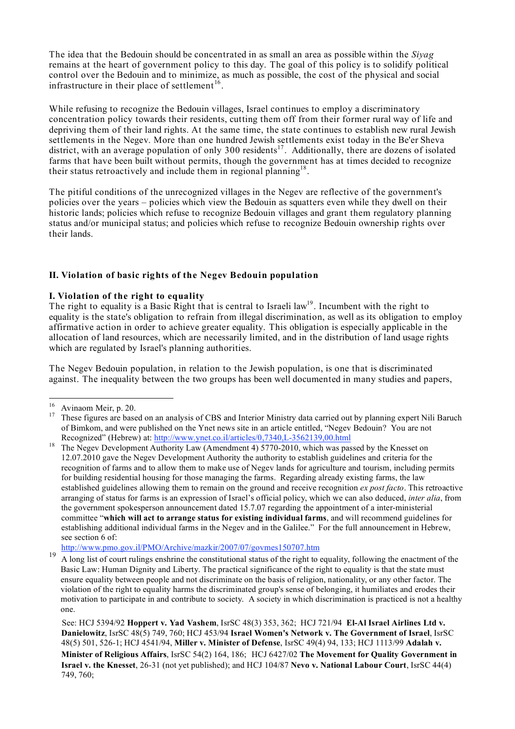The idea that the Bedouin should be concentrated in as small an area as possible within the *Siyag* remains at the heart of government policy to this day. The goal of this policy is to solidify political control over the Bedouin and to minimize, as much as possible, the cost of the physical and social infrastructure in their place of settlement<sup>16</sup>.

While refusing to recognize the Bedouin villages, Israel continues to employ a discriminatory concentration policy towards their residents, cutting them off from their former rural way of life and depriving them of their land rights. At the same time, the state continues to establish new rural Jewish settlements in the Negev. More than one hundred Jewish settlements exist today in the Be'er Sheva district, with an average population of only 300 residents<sup>17</sup>. Additionally, there are dozens of isolated farms that have been built without permits, though the government has at times decided to recognize their status retroactively and include them in regional planning<sup>18</sup>.

The pitiful conditions of the unrecognized villages in the Negev are reflective of the government's policies over the years – policies which view the Bedouin as squatters even while they dwell on their historic lands; policies which refuse to recognize Bedouin villages and grant them regulatory planning status and/or municipal status; and policies which refuse to recognize Bedouin ownership rights over their lands.

## **II. Violation of basic rights of the Negev Bedouin population**

## **I. Violation of the right to equality**

The right to equality is a Basic Right that is central to Israeli law<sup>19</sup>. Incumbent with the right to equality is the state's obligation to refrain from illegal discrimination, as well as its obligation to employ affirmative action in order to achieve greater equality. This obligation is especially applicable in the allocation of land resources, which are necessarily limited, and in the distribution of land usage rights which are regulated by Israel's planning authorities.

The Negev Bedouin population, in relation to the Jewish population, is one that is discriminated against. The inequality between the two groups has been well documented in many studies and papers,

<sup>&</sup>lt;sup>16</sup> Avinaom Meir, p. 20.<br><sup>17</sup> These figures are based on an analysis of CBS and Interior Ministry data carried out by planning expert Nili Baruch of Bimkom, and were published on the Ynet news site in an article entitled, "Negev Bedouin? You are not Recognized" (Hebrew) at: http://www.ynet.co.il/articles/0,7340,L-3562139,00.html<br>The Negev Development Authority Law (Amendment 4) 5770-2010, which was passed by the Knesset on

<sup>12.07.2010</sup> gave the Negev Development Authority the authority to establish guidelines and criteria for the recognition of farms and to allow them to make use of Negev lands for agriculture and tourism, including permits for building residential housing for those managing the farms. Regarding already existing farms, the law established guidelines allowing them to remain on the ground and receive recognition *ex post facto*. This retroactive arranging of status for farms is an expression of Israel's official policy, which we can also deduced, *inter alia*, from the government spokesperson announcement dated 15.7.07 regarding the appointment of a inter-ministerial committee "**which will act to arrange status for existing individual farms**, and will recommend guidelines for establishing additional individual farms in the Negev and in the Galilee." For the full announcement in Hebrew, see section 6 of

http://www.pmo.gov.il/PMO/Archive/mazkir/2007/07/govmes150707.htm

<sup>19</sup> A long list of court rulings enshrine the constitutional status of the right to equality, following the enactment of the Basic Law: Human Dignity and Liberty. The practical significance of the right to equality is that the state must ensure equality between people and not discriminate on the basis of religion, nationality, or any other factor. The violation of the right to equality harms the discriminated group's sense of belonging, it humiliates and erodes their motivation to participate in and contribute to society. A society in which discrimination is practiced is not a healthy one.

See: HCJ 5394/92 **Hoppert v. Yad Vashem**, IsrSC 48(3) 353, 362; HCJ 721/94 **El-Al Israel Airlines Ltd v. Danielowitz**, IsrSC 48(5) 749, 760; HCJ 453/94 **Israel Women's Network v. The Government of Israel**, IsrSC 48(5) 501, 526-1; HCJ 4541/94, **Miller v. Minister of Defense**, IsrSC 49(4) 94, 133; HCJ 1113/99 **Adalah v. Minister of Religious Affairs**, IsrSC 54(2) 164, 186; HCJ 6427/02 **The Movement for Quality Government in Israel v. the Knesset**, 26-31 (not yet published); and HCJ 104/87 **Nevo v. National Labour Court**, IsrSC 44(4) 749, 760;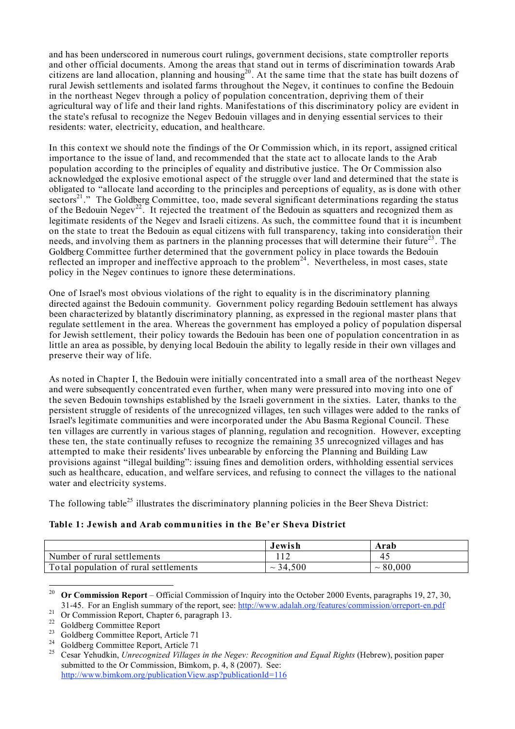and has been underscored in numerous court rulings, government decisions, state comptroller reports and other official documents. Among the areas that stand out in terms of discrimination towards Arab citizens are land allocation, planning and housing<sup>20</sup>. At the same time that the state has built dozens of rural Jewish settlements and isolated farms throughout the Negev, it continues to confine the Bedouin in the northeast Negev through a policy of population concentration, depriving them of their agricultural way of life and their land rights. Manifestations of this discriminatory policy are evident in the state's refusal to recognize the Negev Bedouin villages and in denying essential services to their residents: water, electricity, education, and healthcare.

In this context we should note the findings of the Or Commission which, in its report, assigned critical importance to the issue of land, and recommended that the state act to allocate lands to the Arab population according to the principles of equality and distributive justice. The Or Commission also acknowledged the explosive emotional aspect of the struggle over land and determined that the state is obligated to "allocate land according to the principles and perceptions of equality, as is done with other sectors<sup>21</sup>." The Goldberg Committee, too, made several significant determinations regarding the status of the Bedouin Negev<sup>22</sup>. It rejected the treatment of the Bedouin as squatters and recognized them as legitimate residents of the Negev and Israeli citizens. As such, the committee found that it is incumbent on the state to treat the Bedouin as equal citizens with full transparency, taking into consideration their needs, and involving them as partners in the planning processes that will determine their future<sup>23</sup>. The Goldberg Committee further determined that the government policy in place towards the Bedouin reflected an improper and ineffective approach to the problem<sup>24</sup>. Nevertheless, in most cases, state policy in the Negev continues to ignore these determinations.

One of Israel's most obvious violations of the right to equality is in the discriminatory planning directed against the Bedouin community. Government policy regarding Bedouin settlement has always been characterized by blatantly discriminatory planning, as expressed in the regional master plans that regulate settlement in the area. Whereas the government has employed a policy of population dispersal for Jewish settlement, their policy towards the Bedouin has been one of population concentration in as little an area as possible, by denying local Bedouin the ability to legally reside in their own villages and preserve their way of life.

As noted in Chapter I, the Bedouin were initially concentrated into a small area of the northeast Negev and were subsequently concentrated even further, when many were pressured into moving into one of the seven Bedouin townships established by the Israeli government in the sixties. Later, thanks to the persistent struggle of residents of the unrecognized villages, ten such villages were added to the ranks of Israel's legitimate communities and were incorporated under the Abu Basma Regional Council. These ten villages are currently in various stages of planning, regulation and recognition. However, excepting these ten, the state continually refuses to recognize the remaining 35 unrecognized villages and has attempted to make their residents' lives unbearable by enforcing the Planning and Building Law provisions against "illegal building": issuing fines and demolition orders, withholding essential services such as healthcare, education, and welfare services, and refusing to connect the villages to the national water and electricity systems.

The following table<sup>25</sup> illustrates the discriminatory planning policies in the Beer Sheva District:

# **Table 1: Jewish and Arab communities in the Be'er Sheva District**

|                                       | Jewish               | Arab   |
|---------------------------------------|----------------------|--------|
| Number of rural settlements           |                      | 45     |
| Total population of rural settlements | .500<br>34<br>$\sim$ | 80,000 |

<sup>&</sup>lt;sup>20</sup> **Or Commission Report** – Official Commission of Inquiry into the October 2000 Events, paragraphs 19, 27, 30,

<sup>31-45.</sup> For an English summary of the report, see:  $\frac{http://www.addalah.org/features/commission/orreport-en.pdf}{http://www.addalah.org/features/commission/orreport-en.pdf}$ <br>
<sup>21</sup> Or Commission Report, Chapter 6, paragraph 13.<br>
<sup>22</sup> Goldberg Committee Report<br>
<sup>23</sup> Goldberg Committee Report, Article 71<br>
<sup>24</sup> submitted to the Or Commission, Bimkom, p. 4, 8 (2007). See: http://www.bimkom.org/publicationView.asp?publicationId=116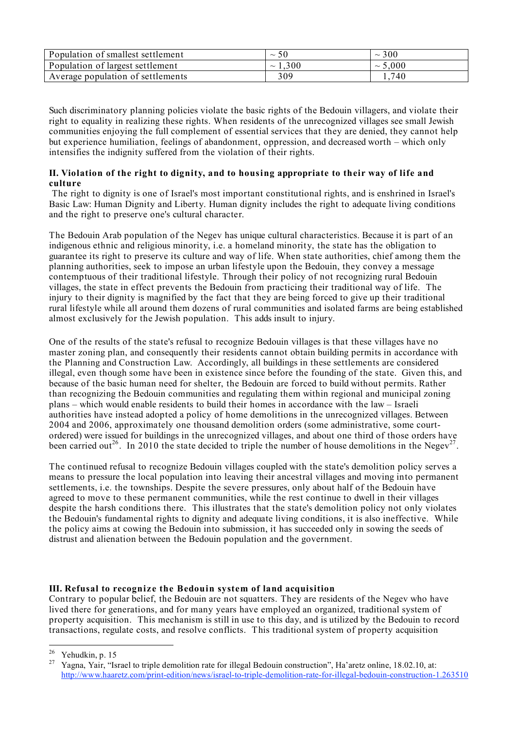| Population of smallest settlement | $\sim$ 50      | 300<br>$\sim$   |
|-----------------------------------|----------------|-----------------|
| Population of largest settlement  | .300<br>$\sim$ | 5,000<br>$\sim$ |
| Average population of settlements | 309            | 740. ا          |

Such discriminatory planning policies violate the basic rights of the Bedouin villagers, and violate their right to equality in realizing these rights. When residents of the unrecognized villages see small Jewish communities enjoying the full complement of essential services that they are denied, they cannot help but experience humiliation, feelings of abandonment, oppression, and decreased worth – which only intensifies the indignity suffered from the violation of their rights.

## **II. Violation of the right to dignity, and to housing appropriate to their way of life and culture**

The right to dignity is one of Israel's most important constitutional rights, and is enshrined in Israel's Basic Law: Human Dignity and Liberty. Human dignity includes the right to adequate living conditions and the right to preserve one's cultural character.

The Bedouin Arab population of the Negev has unique cultural characteristics. Because it is part of an indigenous ethnic and religious minority, i.e. a homeland minority, the state has the obligation to guarantee its right to preserve its culture and way of life. When state authorities, chief among them the planning authorities, seek to impose an urban lifestyle upon the Bedouin, they convey a message contemptuous of their traditional lifestyle. Through their policy of not recognizing rural Bedouin villages, the state in effect prevents the Bedouin from practicing their traditional way of life. The injury to their dignity is magnified by the fact that they are being forced to give up their traditional rural lifestyle while all around them dozens of rural communities and isolated farms are being established almost exclusively for the Jewish population. This adds insult to injury.

One of the results of the state's refusal to recognize Bedouin villages is that these villages have no master zoning plan, and consequently their residents cannot obtain building permits in accordance with the Planning and Construction Law. Accordingly, all buildings in these settlements are considered illegal, even though some have been in existence since before the founding of the state. Given this, and because of the basic human need for shelter, the Bedouin are forced to build without permits. Rather than recognizing the Bedouin communities and regulating them within regional and municipal zoning plans – which would enable residents to build their homes in accordance with the law – Israeli authorities have instead adopted a policy of home demolitions in the unrecognized villages. Between 2004 and 2006, approximately one thousand demolition orders (some administrative, some courtordered) were issued for buildings in the unrecognized villages, and about one third of those orders have been carried out<sup>26</sup>. In 2010 the state decided to triple the number of house demolitions in the Negev<sup>27</sup>.

The continued refusal to recognize Bedouin villages coupled with the state's demolition policy serves a means to pressure the local population into leaving their ancestral villages and moving into permanent settlements, i.e. the townships. Despite the severe pressures, only about half of the Bedouin have agreed to move to these permanent communities, while the rest continue to dwell in their villages despite the harsh conditions there. This illustrates that the state's demolition policy not only violates the Bedouin's fundamental rights to dignity and adequate living conditions, it is also ineffective. While the policy aims at cowing the Bedouin into submission, it has succeeded only in sowing the seeds of distrust and alienation between the Bedouin population and the government.

## **III. Refusal to recogniz e the Bedouin system of land acquisition**

Contrary to popular belief, the Bedouin are not squatters. They are residents of the Negev who have lived there for generations, and for many years have employed an organized, traditional system of property acquisition. This mechanism is still in use to this day, and is utilized by the Bedouin to record transactions, regulate costs, and resolve conflicts. This traditional system of property acquisition

<sup>&</sup>lt;sup>26</sup> Yehudkin, p. 15<br><sup>27</sup> Yagna, Yair, "Israel to triple demolition rate for illegal Bedouin construction", Ha'aretz online, 18.02.10, at: http://www.haaretz.com/print-edition/news/israel-to-triple-demolition-rate-for-illegal-bedouin-construction-1.263510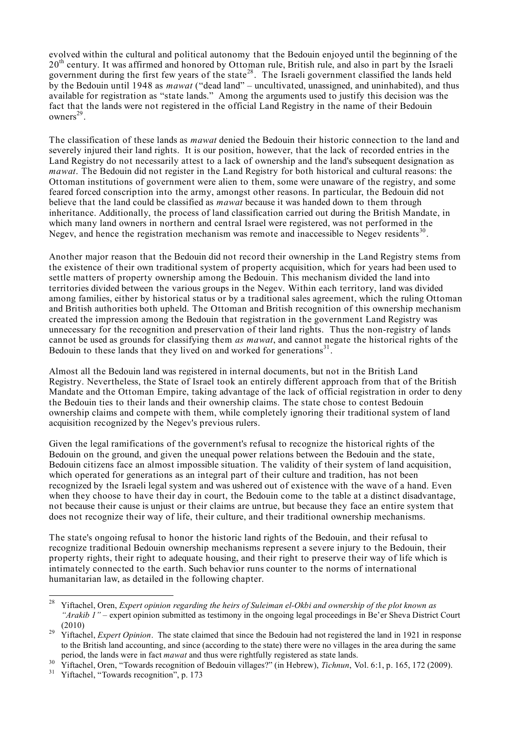evolved within the cultural and political autonomy that the Bedouin enjoyed until the beginning of the 20<sup>th</sup> century. It was affirmed and honored by Ottoman rule, British rule, and also in part by the Israeli government during the first few years of the state<sup>28</sup>. The Israeli government classified the lands held by the Bedouin until 1948 as *mawat* ("dead land" – uncultivated, unassigned, and uninhabited), and thus available for registration as "state lands." Among the arguments used to justify this decision was the fact that the lands were not registered in the official Land Registry in the name of their Bedouin owners 29 .

The classification of these lands as *mawat* denied the Bedouin their historic connection to the land and severely injured their land rights. It is our position, however, that the lack of recorded entries in the Land Registry do not necessarily attest to a lack of ownership and the land's subsequent designation as *mawat*. The Bedouin did not register in the Land Registry for both historical and cultural reasons: the Ottoman institutions of government were alien to them, some were unaware of the registry, and some feared forced conscription into the army, amongst other reasons. In particular, the Bedouin did not believe that the land could be classified as *mawat* because it was handed down to them through inheritance. Additionally, the process of land classification carried out during the British Mandate, in which many land owners in northern and central Israel were registered, was not performed in the Negev, and hence the registration mechanism was remote and inaccessible to Negev residents<sup>30</sup>.

Another major reason that the Bedouin did not record their ownership in the Land Registry stems from the existence of their own traditional system of property acquisition, which for years had been used to settle matters of property ownership among the Bedouin. This mechanism divided the land into territories divided between the various groups in the Negev. Within each territory, land was divided among families, either by historical status or by a traditional sales agreement, which the ruling Ottoman and British authorities both upheld. The Ottoman and British recognition of this ownership mechanism created the impression among the Bedouin that registration in the government Land Registry was unnecessary for the recognition and preservation of their land rights. Thus the non-registry of lands cannot be used as grounds for classifying them *as mawat*, and cannot negate the historical rights of the Bedouin to these lands that they lived on and worked for generations<sup>31</sup>.

Almost all the Bedouin land was registered in internal documents, but not in the British Land Registry. Nevertheless, the State of Israel took an entirely different approach from that of the British Mandate and the Ottoman Empire, taking advantage of the lack of official registration in order to deny the Bedouin ties to their lands and their ownership claims. The state chose to contest Bedouin ownership claims and compete with them, while completely ignoring their traditional system of land acquisition recognized by the Negev's previous rulers.

Given the legal ramifications of the government's refusal to recognize the historical rights of the Bedouin on the ground, and given the unequal power relations between the Bedouin and the state, Bedouin citizens face an almost impossible situation. The validity of their system of land acquisition, which operated for generations as an integral part of their culture and tradition, has not been recognized by the Israeli legal system and was ushered out of existence with the wave of a hand. Even when they choose to have their day in court, the Bedouin come to the table at a distinct disadvantage, not because their cause is unjust or their claims are untrue, but because they face an entire system that does not recognize their way of life, their culture, and their traditional ownership mechanisms.

The state's ongoing refusal to honor the historic land rights of the Bedouin, and their refusal to recognize traditional Bedouin ownership mechanisms represent a severe injury to the Bedouin, their property rights, their right to adequate housing, and their right to preserve their way of life which is intimately connected to the earth. Such behavior runs counter to the norms of international humanitarian law, as detailed in the following chapter.

 <sup>28</sup> Yiftachel, Oren, *Expert opinion regarding the heirs of Suleiman el-Okbi and ownership of the plot known as "Arakib 1"* – expert opinion submitted as testimony in the ongoing legal proceedings in Be'er Sheva District Court (2010) <sup>29</sup> Yiftachel, *Expert Opinion*. The state claimed that since the Bedouin had not registered the land in <sup>1921</sup> in response

to the British land accounting, and since (according to the state) there were no villages in the area during the same period, the lands were in fact *mawat* and thus were rightfully registered as state lands.<br><sup>30</sup> Yiftachel, Oren, "Towards recognition of Bedouin villages?" (in Hebrew), *Tichnun*, Vol. 6:1, p. 165, 172 (2009).<br><sup>31</sup> Yiftach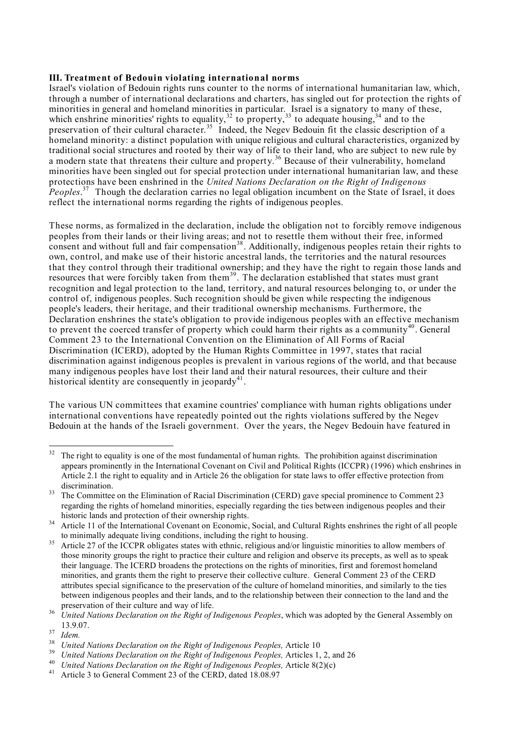## **III. Treatment of Bedouin violating international norms**

Israel's violation of Bedouin rights runs counter to the norms of international humanitarian law, which, through a number of international declarations and charters, has singled out for protection the rights of minorities in general and homeland minorities in particular. Israel is a signatory to many of these, which enshrine minorities' rights to equality,<sup>32</sup> to property,<sup>33</sup> to adequate housing,<sup>34</sup> and to the preservation of their cultural character.<sup>35</sup> Indeed, the Negev Bedouin fit the classic description of a homeland minority: a distinct population with unique religious and cultural characteristics, organized by traditional social structures and rooted by their way of life to their land, who are subject to new rule by a modern state that threatens their culture and property.<sup>36</sup> Because of their vulnerability, homeland minorities have been singled out for special protection under international humanitarian law, and these protections have been enshrined in the *United Nations Declaration on the Right of Indigenous Peoples*. <sup>37</sup> Though the declaration carries no legal obligation incumbent on the State of Israel, it does reflect the international norms regarding the rights of indigenous peoples.

These norms, as formalized in the declaration, include the obligation not to forcibly remove indigenous peoples from their lands or their living areas; and not to resettle them without their free, informed  $\frac{1}{2}$  consent and without full and fair compensation<sup>38</sup>. Additionally, indigenous peoples retain their rights to own, control, and make use of their historic ancestral lands, the territories and the natural resources that they control through their traditional ownership; and they have the right to regain those lands and resources that were forcibly taken from them<sup>39</sup>. The declaration established that states must grant recognition and legal protection to the land, territory, and natural resources belonging to, or under the control of, indigenous peoples. Such recognition should be given while respecting the indigenous people's leaders, their heritage, and their traditional ownership mechanisms. Furthermore, the Declaration enshrines the state's obligation to provide indigenous peoples with an effective mechanism to prevent the coerced transfer of property which could harm their rights as a community<sup>40</sup>. General Comment 23 to the International Convention on the Elimination of All Forms of Racial Discrimination (ICERD), adopted by the Human Rights Committee in 1997, states that racial discrimination against indigenous peoples is prevalent in various regions of the world, and that because many indigenous peoples have lost their land and their natural resources, their culture and their historical identity are consequently in jeopardy<sup>41</sup>.

The various UN committees that examine countries' compliance with human rights obligations under international conventions have repeatedly pointed out the rights violations suffered by the Negev Bedouin at the hands of the Israeli government. Over the years, the Negev Bedouin have featured in

 $32$  The right to equality is one of the most fundamental of human rights. The prohibition against discrimination appears prominently in the International Covenant on Civil and Political Rights (ICCPR) (1996) which enshrines in Article 2.1 the right to equality and in Article 26 the obligation for state laws to offer effective protection from

discrimination.<br><sup>33</sup> The Committee on the Elimination of Racial Discrimination (CERD) gave special prominence to Comment 23 regarding the rights of homeland minorities, especially regarding the ties between indigenous peoples and their

historic lands and protection of their ownership rights.<br><sup>34</sup> Article 11 of the International Covenant on Economic, Social, and Cultural Rights enshrines the right of all people to minimally adequate living conditions, including the right to housing.<br><sup>35</sup> Article 27 of the ICCPR obligates states with ethnic, religious and/or linguistic minorities to allow members of

those minority groups the right to practice their culture and religion and observe its precepts, as well as to speak their language. The ICERD broadens the protections on the rights of minorities, first and foremost homeland minorities, and grants them the right to preserve their collective culture. General Comment 23 of the CERD attributes special significance to the preservation of the culture of homeland minorities, and similarly to the ties between indigenous peoples and their lands, and to the relationship between their connection to the land and the

preservation of their culture and way of life.<br><sup>36</sup> *United Nations Declaration on the Right of Indigenous Peoples*, which was adopted by the General Assembly on<br>13.9.07.

<sup>&</sup>lt;sup>37</sup> *Idem.*<br><sup>38</sup> *United Nations Declaration on the Right of Indigenous Peoples, Article 10*<br><sup>39</sup> *United Nations Declaration on the Right of Indigenous Peoples, Articles 1, 2, and 26*<br><sup>40</sup> *United Nations Declaration on*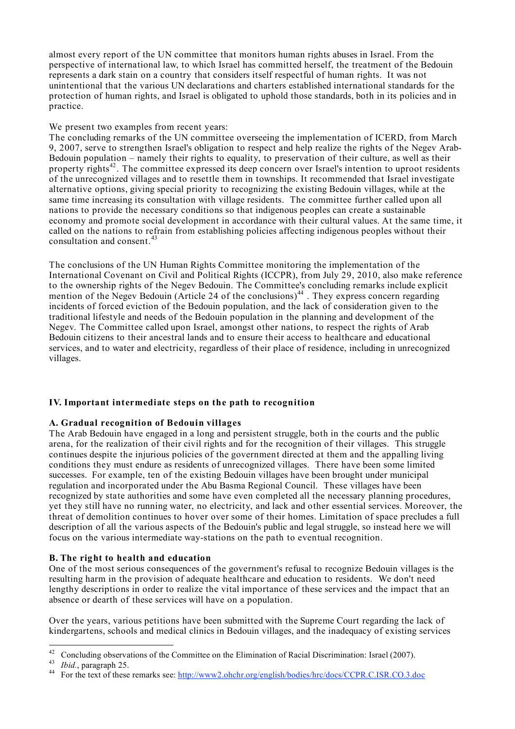almost every report of the UN committee that monitors human rights abuses in Israel. From the perspective of international law, to which Israel has committed herself, the treatment of the Bedouin represents a dark stain on a country that considers itself respectful of human rights. It was not unintentional that the various UN declarations and charters established international standards for the protection of human rights, and Israel is obligated to uphold those standards, both in its policies and in practice.

We present two examples from recent years:

The concluding remarks of the UN committee overseeing the implementation of ICERD, from March 9, 2007, serve to strengthen Israel's obligation to respect and help realize the rights of the Negev Arab-Bedouin population – namely their rights to equality, to preservation of their culture, as well as their property rights<sup>42</sup>. The committee expressed its deep concern over Israel's intention to uproot residents of the unrecognized villages and to resettle them in townships. It recommended that Israel investigate alternative options, giving special priority to recognizing the existing Bedouin villages, while at the same time increasing its consultation with village residents. The committee further called upon all nations to provide the necessary conditions so that indigenous peoples can create a sustainable economy and promote social development in accordance with their cultural values. At the same time, it called on the nations to refrain from establishing policies affecting indigenous peoples without their consultation and consent. 43

The conclusions of the UN Human Rights Committee monitoring the implementation of the International Covenant on Civil and Political Rights (ICCPR), from July 29, 2010, also make reference to the ownership rights of the Negev Bedouin. The Committee's concluding remarks include explicit mention of the Negev Bedouin (Article 24 of the conclusions)<sup>44</sup>. They express concern regarding incidents of forced eviction of the Bedouin population, and the lack of consideration given to the traditional lifestyle and needs of the Bedouin population in the planning and development of the Negev. The Committee called upon Israel, amongst other nations, to respect the rights of Arab Bedouin citizens to their ancestral lands and to ensure their access to healthcare and educational services, and to water and electricity, regardless of their place of residence, including in unrecognized villages.

## **IV. Important intermediate steps on the path to recognition**

## **A. Gradual recognition of Bedouin villages**

The Arab Bedouin have engaged in a long and persistent struggle, both in the courts and the public arena, for the realization of their civil rights and for the recognition of their villages. This struggle continues despite the injurious policies of the government directed at them and the appalling living conditions they must endure as residents of unrecognized villages. There have been some limited successes. For example, ten of the existing Bedouin villages have been brought under municipal regulation and incorporated under the Abu Basma Regional Council. These villages have been recognized by state authorities and some have even completed all the necessary planning procedures, yet they still have no running water, no electricity, and lack and other essential services. Moreover, the threat of demolition continues to hover over some of their homes. Limitation of space precludes a full description of all the various aspects of the Bedouin's public and legal struggle, so instead here we will focus on the various intermediate way-stations on the path to eventual recognition.

## **B. The right to health and education**

One of the most serious consequences of the government's refusal to recognize Bedouin villages is the resulting harm in the provision of adequate healthcare and education to residents. We don't need lengthy descriptions in order to realize the vital importance of these services and the impact that an absence or dearth of these services will have on a population.

Over the years, various petitions have been submitted with the Supreme Court regarding the lack of kindergartens, schools and medical clinics in Bedouin villages, and the inadequacy of existing services

<sup>&</sup>lt;sup>42</sup> Concluding observations of the Committee on the Elimination of Racial Discrimination: Israel (2007).<br><sup>43</sup> *Ibid.*, paragraph 25.<br><sup>44</sup> For the text of these remarks see: http://www2.ohchr.org/english/bodies/hrc/docs/C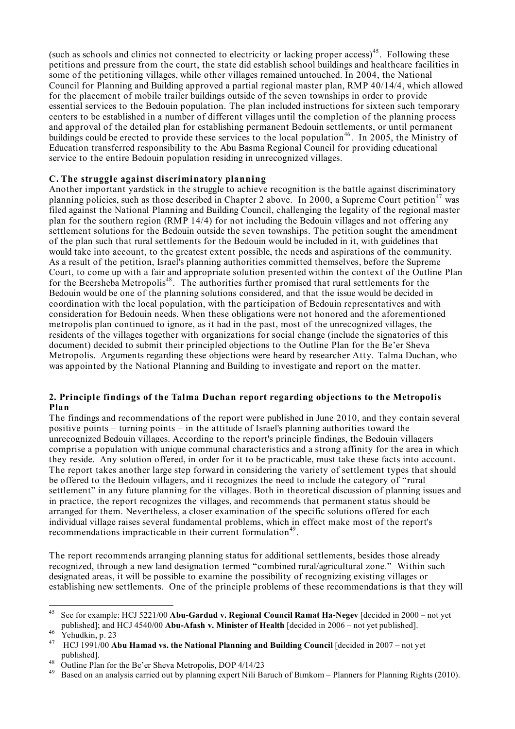(such as schools and clinics not connected to electricity or lacking proper access)<sup>45</sup>. Following these petitions and pressure from the court, the state did establish school buildings and healthcare facilities in some of the petitioning villages, while other villages remained untouched. In 2004, the National Council for Planning and Building approved a partial regional master plan, RMP 40/14/4, which allowed for the placement of mobile trailer buildings outside of the seven townships in order to provide essential services to the Bedouin population. The plan included instructions for sixteen such temporary centers to be established in a number of different villages until the completion of the planning process and approval of the detailed plan for establishing permanent Bedouin settlements, or until permanent buildings could be erected to provide these services to the local population<sup>46</sup>. In 2005, the Ministry of Education transferred responsibility to the Abu Basma Regional Council for providing educational service to the entire Bedouin population residing in unrecognized villages.

## **C. The struggle against discriminatory planning**

Another important yardstick in the struggle to achieve recognition is the battle against discriminatory planning policies, such as those described in Chapter 2 above. In 2000, a Supreme Court petition<sup>47</sup> was filed against the National Planning and Building Council, challenging the legality of the regional master plan for the southern region (RMP 14/4) for not including the Bedouin villages and not offering any settlement solutions for the Bedouin outside the seven townships. The petition sought the amendment of the plan such that rural settlements for the Bedouin would be included in it, with guidelines that would take into account, to the greatest extent possible, the needs and aspirations of the community. As a result of the petition, Israel's planning authorities committed themselves, before the Supreme Court, to come up with a fair and appropriate solution presented within the context of the Outline Plan for the Beersheba Metropolis<sup>48</sup>. The authorities further promised that rural settlements for the Bedouin would be one of the planning solutions considered, and that the issue would be decided in coordination with the local population, with the participation of Bedouin representatives and with consideration for Bedouin needs. When these obligations were not honored and the aforementioned metropolis plan continued to ignore, as it had in the past, most of the unrecognized villages, the residents of the villages together with organizations for social change (include the signatories of this document) decided to submit their principled objections to the Outline Plan for the Be'er Sheva Metropolis. Arguments regarding these objections were heard by researcher Atty. Talma Duchan, who was appointed by the National Planning and Building to investigate and report on the matter.

## **2. Principle findings of the Talma Duchan report regarding objections to the Metropolis Plan**

The findings and recommendations of the report were published in June 2010, and they contain several positive points – turning points – in the attitude of Israel's planning authorities toward the unrecognized Bedouin villages. According to the report's principle findings, the Bedouin villagers comprise a population with unique communal characteristics and a strong affinity for the area in which they reside. Any solution offered, in order for it to be practicable, must take these facts into account. The report takes another large step forward in considering the variety of settlement types that should be offered to the Bedouin villagers, and it recognizes the need to include the category of "rural settlement" in any future planning for the villages. Both in theoretical discussion of planning issues and in practice, the report recognizes the villages, and recommends that permanent status should be arranged for them. Nevertheless, a closer examination of the specific solutions offered for each individual village raises several fundamental problems, which in effect make most of the report's recommendations impracticable in their current formulation<sup>49</sup>.

The report recommends arranging planning status for additional settlements, besides those already recognized, through a new land designation termed "combined rural/agricultural zone." Within such designated areas, it will be possible to examine the possibility of recognizing existing villages or establishing new settlements. One of the principle problems of these recommendations is that they will

 <sup>45</sup> See for example: HCJ 5221/00 **Abu-Gardud v. Regional Council Ramat Ha-Negev** [decided in <sup>2000</sup> – not yet

<sup>&</sup>lt;sup>46</sup><br><sup>46</sup> Yehudkin, p. 23<br><sup>47</sup> HCJ 1991/00 **Abu Hamad vs. the National Planning and Building Council** [decided in 2007 – not yet published].<br><sup>48</sup> Outline Plan for the Be'er Sheva Metropolis, DOP 4/14/23<br><sup>49</sup> Based on an analysis carried out by planning expert Nili Baruch of Bimkom – Planners for Planning Rights (2010).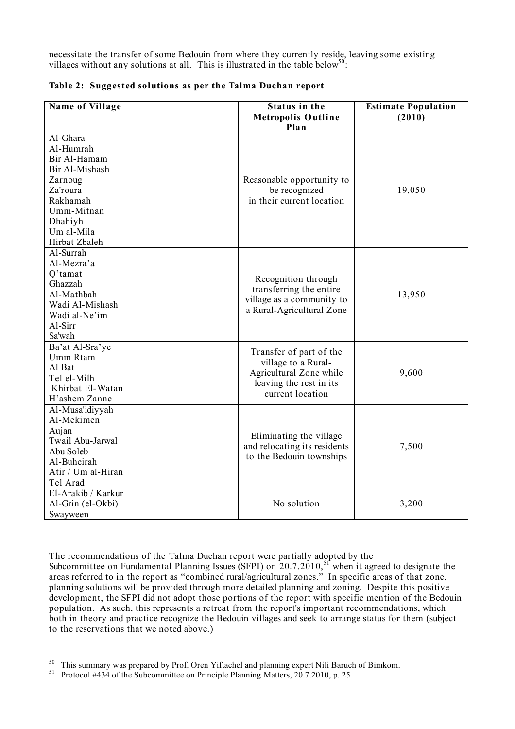necessitate the transfer of some Bedouin from where they currently reside, leaving some existing villages without any solutions at all. This is illustrated in the table below<sup>50</sup>:

| Name of Village                  | <b>Status in the</b>                               | <b>Estimate Population</b> |  |  |
|----------------------------------|----------------------------------------------------|----------------------------|--|--|
|                                  | <b>Metropolis Outline</b><br>Plan                  | (2010)                     |  |  |
| Al-Ghara<br>Al-Humrah            |                                                    |                            |  |  |
| Bir Al-Hamam                     |                                                    |                            |  |  |
| Bir Al-Mishash                   |                                                    |                            |  |  |
| Zarnoug                          | Reasonable opportunity to                          |                            |  |  |
| Za'roura                         | be recognized                                      | 19,050                     |  |  |
| Rakhamah                         | in their current location                          |                            |  |  |
| Umm-Mitnan                       |                                                    |                            |  |  |
| Dhahiyh                          |                                                    |                            |  |  |
| Um al-Mila                       |                                                    |                            |  |  |
| Hirbat Zbaleh                    |                                                    |                            |  |  |
| Al-Surrah                        |                                                    |                            |  |  |
| Al-Mezra'a                       |                                                    |                            |  |  |
| $Q$ 'tamat                       | Recognition through                                |                            |  |  |
| Ghazzah                          | transferring the entire                            |                            |  |  |
| Al-Mathbah                       | village as a community to                          | 13,950                     |  |  |
| Wadi Al-Mishash<br>Wadi al-Ne'im | a Rural-Agricultural Zone                          |                            |  |  |
| Al-Sirr                          |                                                    |                            |  |  |
| Sa'wah                           |                                                    |                            |  |  |
| Ba'at Al-Sra'ye                  |                                                    |                            |  |  |
| Umm Rtam                         | Transfer of part of the                            |                            |  |  |
| Al Bat                           | village to a Rural-                                |                            |  |  |
| Tel el-Milh                      | Agricultural Zone while<br>leaving the rest in its | 9,600                      |  |  |
| Khirbat El-Watan                 | current location                                   |                            |  |  |
| H'ashem Zanne                    |                                                    |                            |  |  |
| Al-Musa'idiyyah                  |                                                    |                            |  |  |
| Al-Mekimen                       |                                                    |                            |  |  |
| Aujan                            | Eliminating the village                            |                            |  |  |
| Twail Abu-Jarwal                 | and relocating its residents                       | 7,500                      |  |  |
| Abu Soleb<br>Al-Buheirah         | to the Bedouin townships                           |                            |  |  |
| Atir / Um al-Hiran               |                                                    |                            |  |  |
| Tel Arad                         |                                                    |                            |  |  |
| El-Arakib / Karkur               |                                                    |                            |  |  |
| Al-Grin (el-Okbi)                | No solution                                        | 3,200                      |  |  |
| Swayween                         |                                                    |                            |  |  |

#### **Table 2: Suggested solutions as per the Talma Duchan report**

The recommendations of the Talma Duchan report were partially adopted by the Subcommittee on Fundamental Planning Issues (SFPI) on  $20.7.2010$ , <sup>51</sup> when it agreed to designate the areas referred to in the report as "combined rural/agricultural zones." In specific areas of that zone, planning solutions will be provided through more detailed planning and zoning. Despite this positive development, the SFPI did not adopt those portions of the report with specific mention of the Bedouin population. As such, this represents a retreat from the report's important recommendations, which both in theory and practice recognize the Bedouin villages and seek to arrange status for them (subject to the reservations that we noted above.)

<sup>&</sup>lt;sup>50</sup> This summary was prepared by Prof. Oren Yiftachel and planning expert Nili Baruch of Bimkom.<br><sup>51</sup> Protocol #434 of the Subcommittee on Principle Planning Matters, 20.7.2010, p. 25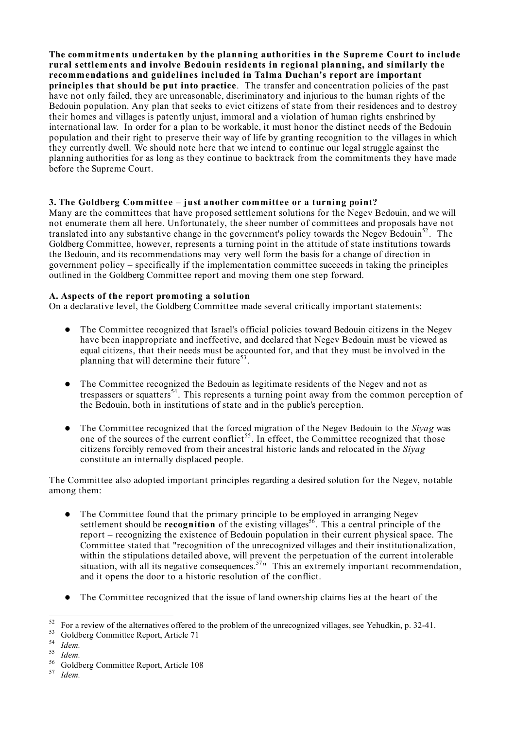**The commitments undertaken by the planning authorities in the Supreme Court to include rural settlements and involve Bedouin residents in regional planning, and similarly the recommendations and guidelines included in Talma Duchan's report are important principles that should be put into practice**. The transfer and concentration policies of the past have not only failed, they are unreasonable, discriminatory and injurious to the human rights of the Bedouin population. Any plan that seeks to evict citizens of state from their residences and to destroy their homes and villages is patently unjust, immoral and a violation of human rights enshrined by international law. In order for a plan to be workable, it must honor the distinct needs of the Bedouin population and their right to preserve their way of life by granting recognition to the villages in which they currently dwell. We should note here that we intend to continue our legal struggle against the planning authorities for as long as they continue to backtrack from the commitments they have made before the Supreme Court.

## **3. The Goldberg Committee – just another committee or a turning point?**

Many are the committees that have proposed settlement solutions for the Negev Bedouin, and we will not enumerate them all here. Unfortunately, the sheer number of committees and proposals have not translated into any substantive change in the government's policy towards the Negev Bedouin<sup>52</sup>. The Goldberg Committee, however, represents a turning point in the attitude of state institutions towards the Bedouin, and its recommendations may very well form the basis for a change of direction in government policy – specifically if the implementation committee succeeds in taking the principles outlined in the Goldberg Committee report and moving them one step forward.

## **A. Aspects of the report promoting a solution**

On a declarative level, the Goldberg Committee made several critically important statements:

- The Committee recognized that Israel's official policies toward Bedouin citizens in the Negev have been inappropriate and ineffective, and declared that Negev Bedouin must be viewed as equal citizens, that their needs must be accounted for, and that they must be involved in the planning that will determine their future<sup>53</sup>.
- The Committee recognized the Bedouin as legitimate residents of the Negev and not as trespassers or squatters<sup>54</sup>. This represents a turning point away from the common perception of the Bedouin, both in institutions of state and in the public's perception.
- The Committee recognized that the forced migration of the Negev Bedouin to the *Siyag* was one of the sources of the current conflict<sup>55</sup>. In effect, the Committee recognized that those citizens forcibly removed from their ancestral historic lands and relocated in the *Siyag* constitute an internally displaced people.

The Committee also adopted important principles regarding a desired solution for the Negev, notable among them:

- The Committee found that the primary principle to be employed in arranging Negev settlement should be **recognition** of the existing villages 56 . This a central principle of the report – recognizing the existence of Bedouin population in their current physical space. The Committee stated that "recognition of the unrecognized villages and their institutionalization, within the stipulations detailed above, will prevent the perpetuation of the current intolerable situation, with all its negative consequences.<sup>57</sup> This an extremely important recommendation, and it opens the door to a historic resolution of the conflict.
- The Committee recognized that the issue of land ownership claims lies at the heart of the

<sup>&</sup>lt;sup>52</sup> For a review of the alternatives offered to the problem of the unrecognized villages, see Yehudkin, p. 32-41.<br><sup>53</sup> Goldberg Committee Report, Article 71<br><sup>54</sup> *Idem.*<br><sup>56</sup> Goldberg Committee Report, Article 108<br><sup>57</sup>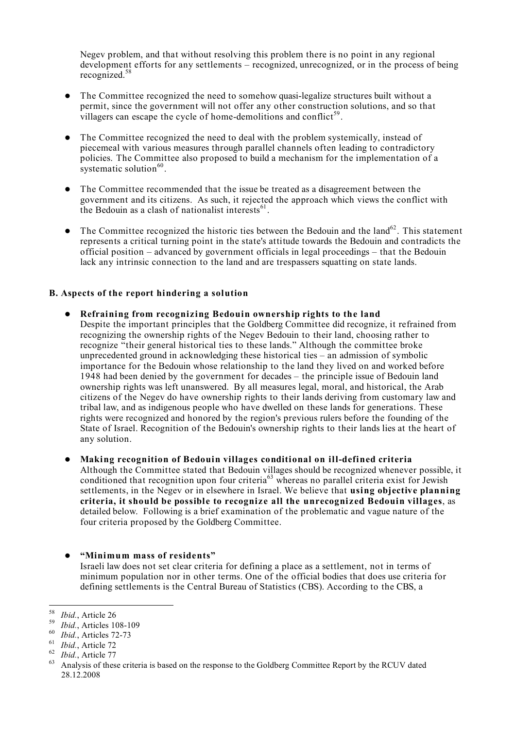Negev problem, and that without resolving this problem there is no point in any regional development efforts for any settlements – recognized, unrecognized, or in the process of being recognized. 58

- The Committee recognized the need to somehow quasi-legalize structures built without a permit, since the government will not offer any other construction solutions, and so that villagers can escape the cycle of home-demolitions and conflict<sup>59</sup>.
- The Committee recognized the need to deal with the problem systemically, instead of piecemeal with various measures through parallel channels often leading to contradictory policies. The Committee also proposed to build a mechanism for the implementation of a systematic solution $^{60}$ .
- The Committee recommended that the issue be treated as a disagreement between the government and its citizens. As such, it rejected the approach which views the conflict with the Bedouin as a clash of nationalist interests<sup>61</sup>.
- $\bullet$  The Committee recognized the historic ties between the Bedouin and the land<sup>62</sup>. This statement represents a critical turning point in the state's attitude towards the Bedouin and contradicts the official position – advanced by government officials in legal proceedings – that the Bedouin lack any intrinsic connection to the land and are trespassers squatting on state lands.

# **B. Aspects of the report hindering a solution**

- **Refraining from recognizing Bedouin ownership rights to the land** Despite the important principles that the Goldberg Committee did recognize, it refrained from recognizing the ownership rights of the Negev Bedouin to their land, choosing rather to recognize "their general historical ties to these lands." Although the committee broke unprecedented ground in acknowledging these historical ties – an admission of symbolic importance for the Bedouin whose relationship to the land they lived on and worked before 1948 had been denied by the government for decades – the principle issue of Bedouin land ownership rights was left unanswered. By all measures legal, moral, and historical, the Arab citizens of the Negev do have ownership rights to their lands deriving from customary law and tribal law, and as indigenous people who have dwelled on these lands for generations. These rights were recognized and honored by the region's previous rulers before the founding of the State of Israel. Recognition of the Bedouin's ownership rights to their lands lies at the heart of any solution.
- **Making recognition of Bedouin villages conditional on ill-defined criteria** Although the Committee stated that Bedouin villages should be recognized whenever possible, it conditioned that recognition upon four criteria<sup>63</sup> whereas no parallel criteria exist for Jewish settlements, in the Negev or in elsewhere in Israel. We believe that **using objective planning criteria, it should be possible to recogniz e all the unrecogniz ed Bedouin villages**, as detailed below. Following is a brief examination of the problematic and vague nature of the four criteria proposed by the Goldberg Committee.

## **"Minimum mass of residents"**

Israeli law does not set clear criteria for defining a place as a settlement, not in terms of minimum population nor in other terms. One of the official bodies that does use criteria for defining settlements is the Central Bureau of Statistics (CBS). According to the CBS, a

<sup>&</sup>lt;sup>58</sup> *Ibid.*, Article 26<br>
<sup>59</sup> *Ibid.*, Articles 108-109<br>
<sup>60</sup> *Ibid.*, Articles 72-73<br> *bid.*, Article 72<br>
<sup>61</sup> *Ibid.*, Article 77<br>
<sup>62</sup> *Ibid.*, Article 77<br>
<sup>62</sup> *Analysis* of these criteria is based on the response to 28.12.2008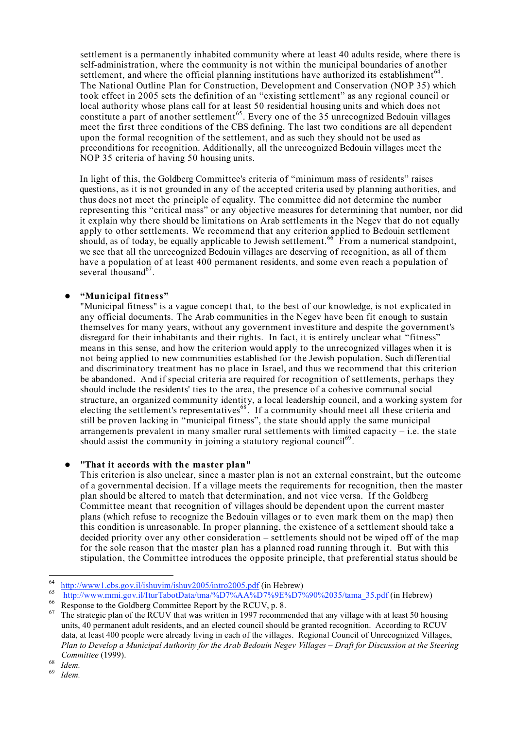settlement is a permanently inhabited community where at least 40 adults reside, where there is self-administration, where the community is not within the municipal boundaries of another settlement, and where the official planning institutions have authorized its establishment<sup>64</sup>. The National Outline Plan for Construction, Development and Conservation (NOP 35) which took effect in 2005 sets the definition of an "existing settlement" as any regional council or local authority whose plans call for at least 50 residential housing units and which does not constitute a part of another settlement<sup>65</sup>. Every one of the 35 unrecognized Bedouin villages meet the first three conditions of the CBS defining. The last two conditions are all dependent upon the formal recognition of the settlement, and as such they should not be used as preconditions for recognition. Additionally, all the unrecognized Bedouin villages meet the NOP 35 criteria of having 50 housing units.

In light of this, the Goldberg Committee's criteria of "minimum mass of residents" raises questions, as it is not grounded in any of the accepted criteria used by planning authorities, and thus does not meet the principle of equality. The committee did not determine the number representing this "critical mass" or any objective measures for determining that number, nor did it explain why there should be limitations on Arab settlements in the Negev that do not equally apply to other settlements. We recommend that any criterion applied to Bedouin settlement should, as of today, be equally applicable to Jewish settlement.<sup>66</sup> From a numerical standpoint, we see that all the unrecognized Bedouin villages are deserving of recognition, as all of them have a population of at least 400 permanent residents, and some even reach a population of several thousand<sup>67</sup>.

## **"Municipal fitness"**

"Municipal fitness" is a vague concept that, to the best of our knowledge, is not explicated in any official documents. The Arab communities in the Negev have been fit enough to sustain themselves for many years, without any government investiture and despite the government's disregard for their inhabitants and their rights. In fact, it is entirely unclear what "fitness" means in this sense, and how the criterion would apply to the unrecognized villages when it is not being applied to new communities established for the Jewish population. Such differential and discriminatory treatment has no place in Israel, and thus we recommend that this criterion be abandoned. And if special criteria are required for recognition of settlements, perhaps they should include the residents' ties to the area, the presence of a cohesive communal social structure, an organized community identity, a local leadership council, and a working system for electing the settlement's representatives<sup>68</sup>. If a community should meet all these criteria and still be proven lacking in "municipal fitness", the state should apply the same municipal arrangements prevalent in many smaller rural settlements with limited capacity  $-$  i.e. the state should assist the community in joining a statutory regional council<sup>69</sup>.

## **"That it accords with the master plan"**

This criterion is also unclear, since a master plan is not an external constraint, but the outcome of a governmental decision. If a village meets the requirements for recognition, then the master plan should be altered to match that determination, and not vice versa. If the Goldberg Committee meant that recognition of villages should be dependent upon the current master plans (which refuse to recognize the Bedouin villages or to even mark them on the map) then this condition is unreasonable. In proper planning, the existence of a settlement should take a decided priority over any other consideration – settlements should not be wiped off of the map for the sole reason that the master plan has a planned road running through it. But with this stipulation, the Committee introduces the opposite principle, that preferential status should be

<sup>&</sup>lt;sup>64</sup> http://www1.cbs.gov.il/ishuvim/ishuv2005/intro2005.pdf (in Hebrew)<br>
<sup>65</sup> http://www.mmi.gov.il/IturTabotData/tma/%D7%AA%D7%9E%D7%90%2035/tama\_35.pdf (in Hebrew)<br>
<sup>66</sup> Response to the Goldberg Committee Report by the

units, 40 permanent adult residents, and an elected council should be granted recognition. According to RCUV data, at least 400 people were already living in each of the villages. Regional Council of Unrecognized Villages, Plan to Develop a Municipal Authority for the Arab Bedouin Negev Villages – Draft for Discussion at the Steering *Committee* (1999). <sup>68</sup> *Idem.* <sup>69</sup> *Idem.*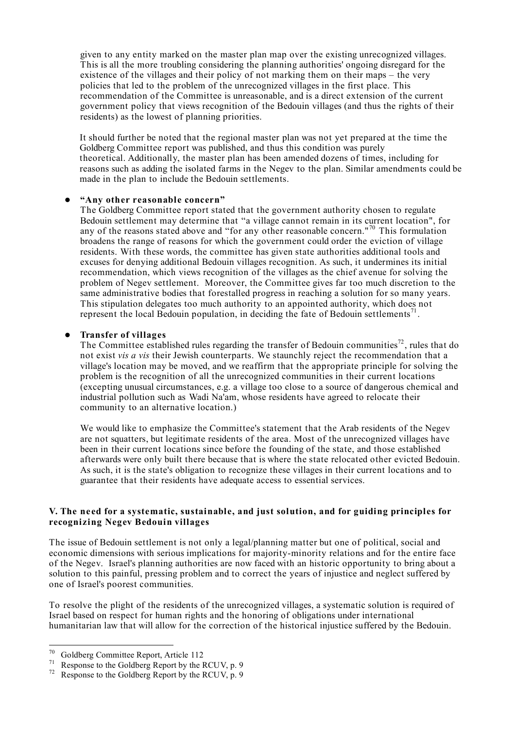given to any entity marked on the master plan map over the existing unrecognized villages. This is all the more troubling considering the planning authorities' ongoing disregard for the existence of the villages and their policy of not marking them on their maps – the very policies that led to the problem of the unrecognized villages in the first place. This recommendation of the Committee is unreasonable, and is a direct extension of the current government policy that views recognition of the Bedouin villages (and thus the rights of their residents) as the lowest of planning priorities.

It should further be noted that the regional master plan was not yet prepared at the time the Goldberg Committee report was published, and thus this condition was purely theoretical. Additionally, the master plan has been amended dozens of times, including for reasons such as adding the isolated farms in the Negev to the plan. Similar amendments could be made in the plan to include the Bedouin settlements.

## **"Any other reasonable concern"**

The Goldberg Committee report stated that the government authority chosen to regulate Bedouin settlement may determine that "a village cannot remain in its current location", for any of the reasons stated above and "for any other reasonable concern."<sup>70</sup> This formulation broadens the range of reasons for which the government could order the eviction of village residents. With these words, the committee has given state authorities additional tools and excuses for denying additional Bedouin villages recognition. As such, it undermines its initial recommendation, which views recognition of the villages as the chief avenue for solving the problem of Negev settlement. Moreover, the Committee gives far too much discretion to the same administrative bodies that forestalled progress in reaching a solution for so many years. This stipulation delegates too much authority to an appointed authority, which does not represent the local Bedouin population, in deciding the fate of Bedouin settlements<sup>71</sup>.

#### **Transfer of villages**

The Committee established rules regarding the transfer of Bedouin communities<sup>72</sup>, rules that do not exist *vis a vis* their Jewish counterparts. We staunchly reject the recommendation that a village's location may be moved, and we reaffirm that the appropriate principle for solving the problem is the recognition of all the unrecognized communities in their current locations (excepting unusual circumstances, e.g. a village too close to a source of dangerous chemical and industrial pollution such as Wadi Na'am, whose residents have agreed to relocate their community to an alternative location.)

We would like to emphasize the Committee's statement that the Arab residents of the Negev are not squatters, but legitimate residents of the area. Most of the unrecognized villages have been in their current locations since before the founding of the state, and those established afterwards were only built there because that is where the state relocated other evicted Bedouin. As such, it is the state's obligation to recognize these villages in their current locations and to guarantee that their residents have adequate access to essential services.

## **V. The ne ed for a systematic, sustainable, and just solution, and for guiding principles for recognizing Negev Bedouin villages**

The issue of Bedouin settlement is not only a legal/planning matter but one of political, social and economic dimensions with serious implications for majority-minority relations and for the entire face of the Negev. Israel's planning authorities are now faced with an historic opportunity to bring about a solution to this painful, pressing problem and to correct the years of injustice and neglect suffered by one of Israel's poorest communities.

To resolve the plight of the residents of the unrecognized villages, a systematic solution is required of Israel based on respect for human rights and the honoring of obligations under international humanitarian law that will allow for the correction of the historical injustice suffered by the Bedouin.

<sup>&</sup>lt;sup>70</sup> Goldberg Committee Report, Article 112<br><sup>71</sup> Response to the Goldberg Report by the RCUV, p. 9<br><sup>72</sup> Response to the Goldberg Report by the RCUV, p. 9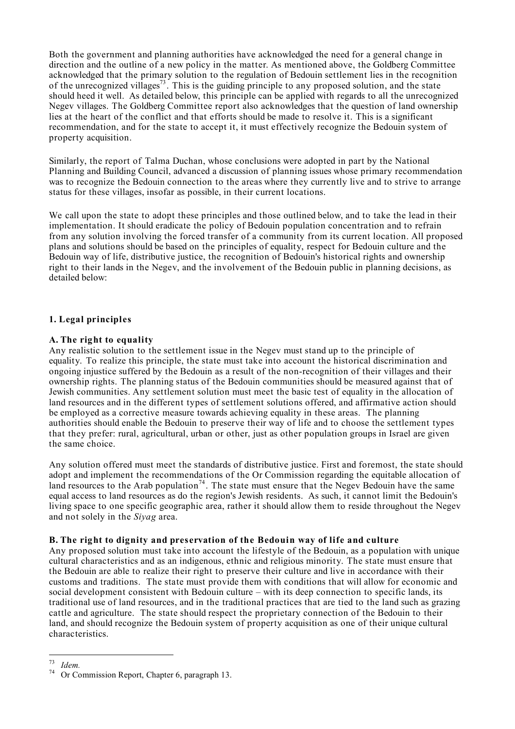Both the government and planning authorities have acknowledged the need for a general change in direction and the outline of a new policy in the matter. As mentioned above, the Goldberg Committee acknowledged that the primary solution to the regulation of Bedouin settlement lies in the recognition of the unrecognized villages<sup>73</sup>. This is the guiding principle to any proposed solution, and the state should heed it well. As detailed below, this principle can be applied with regards to all the unrecognized Negev villages. The Goldberg Committee report also acknowledges that the question of land ownership lies at the heart of the conflict and that efforts should be made to resolve it. This is a significant recommendation, and for the state to accept it, it must effectively recognize the Bedouin system of property acquisition.

Similarly, the report of Talma Duchan, whose conclusions were adopted in part by the National Planning and Building Council, advanced a discussion of planning issues whose primary recommendation was to recognize the Bedouin connection to the areas where they currently live and to strive to arrange status for these villages, insofar as possible, in their current locations.

We call upon the state to adopt these principles and those outlined below, and to take the lead in their implementation. It should eradicate the policy of Bedouin population concentration and to refrain from any solution involving the forced transfer of a community from its current location. All proposed plans and solutions should be based on the principles of equality, respect for Bedouin culture and the Bedouin way of life, distributive justice, the recognition of Bedouin's historical rights and ownership right to their lands in the Negev, and the involvement of the Bedouin public in planning decisions, as detailed below:

# **1. Legal principles**

## **A. The right to equality**

Any realistic solution to the settlement issue in the Negev must stand up to the principle of equality. To realize this principle, the state must take into account the historical discrimination and ongoing injustice suffered by the Bedouin as a result of the non-recognition of their villages and their ownership rights. The planning status of the Bedouin communities should be measured against that of Jewish communities. Any settlement solution must meet the basic test of equality in the allocation of land resources and in the different types of settlement solutions offered, and affirmative action should be employed as a corrective measure towards achieving equality in these areas. The planning authorities should enable the Bedouin to preserve their way of life and to choose the settlement types that they prefer: rural, agricultural, urban or other, just as other population groups in Israel are given the same choice.

Any solution offered must meet the standards of distributive justice. First and foremost, the state should adopt and implement the recommendations of the Or Commission regarding the equitable allocation of land resources to the Arab population<sup>74</sup>. The state must ensure that the Negev Bedouin have the same equal access to land resources as do the region's Jewish residents. As such, it cannot limit the Bedouin's living space to one specific geographic area, rather it should allow them to reside throughout the Negev and not solely in the *Siyag* area.

## **B. The right to dignity and preservation of the Bedouin way of life and culture**

Any proposed solution must take into account the lifestyle of the Bedouin, as a population with unique cultural characteristics and as an indigenous, ethnic and religious minority. The state must ensure that the Bedouin are able to realize their right to preserve their culture and live in accordance with their customs and traditions. The state must provide them with conditions that will allow for economic and social development consistent with Bedouin culture – with its deep connection to specific lands, its traditional use of land resources, and in the traditional practices that are tied to the land such as grazing cattle and agriculture. The state should respect the proprietary connection of the Bedouin to their land, and should recognize the Bedouin system of property acquisition as one of their unique cultural characteristics.

<sup>73</sup> *Idem.* <sup>74</sup> Or Commission Report, Chapter 6, paragraph 13.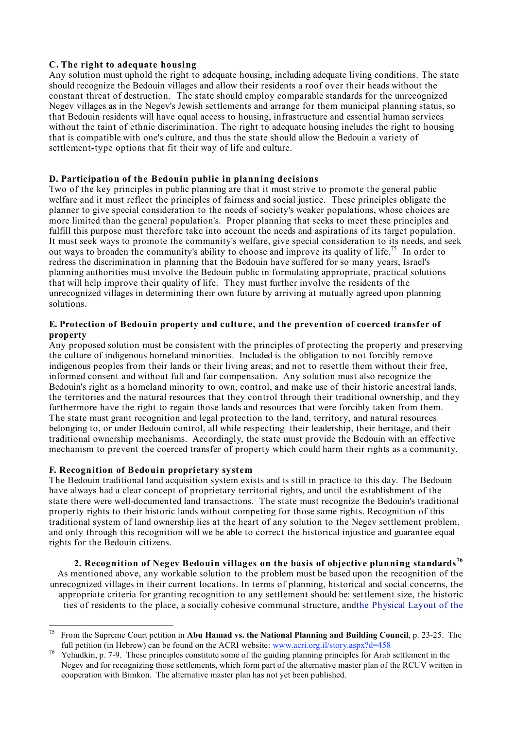## **C. The right to adequate housing**

Any solution must uphold the right to adequate housing, including adequate living conditions. The state should recognize the Bedouin villages and allow their residents a roof over their heads without the constant threat of destruction. The state should employ comparable standards for the unrecognized Negev villages as in the Negev's Jewish settlements and arrange for them municipal planning status, so that Bedouin residents will have equal access to housing, infrastructure and essential human services without the taint of ethnic discrimination. The right to adequate housing includes the right to housing that is compatible with one's culture, and thus the state should allow the Bedouin a variety of settlement-type options that fit their way of life and culture.

## **D. Participation of the Bedouin public in planning decisions**

Two of the key principles in public planning are that it must strive to promote the general public welfare and it must reflect the principles of fairness and social justice. These principles obligate the planner to give special consideration to the needs of society's weaker populations, whose choices are more limited than the general population's. Proper planning that seeks to meet these principles and fulfill this purpose must therefore take into account the needs and aspirations of its target population. It must seek ways to promote the community's welfare, give special consideration to its needs, and seek out ways to broaden the community's ability to choose and improve its quality of life.<sup>75</sup> In order to redress the discrimination in planning that the Bedouin have suffered for so many years, Israel's planning authorities must involve the Bedouin public in formulating appropriate, practical solutions that will help improve their quality of life. They must further involve the residents of the unrecognized villages in determining their own future by arriving at mutually agreed upon planning solutions.

## **E. Protection of Bedouin property and culture, and the prevention of coerced transfer of property**

Any proposed solution must be consistent with the principles of protecting the property and preserving the culture of indigenous homeland minorities. Included is the obligation to not forcibly remove indigenous peoples from their lands or their living areas; and not to resettle them without their free, informed consent and without full and fair compensation. Any solution must also recognize the Bedouin's right as a homeland minority to own, control, and make use of their historic ancestral lands, the territories and the natural resources that they control through their traditional ownership, and they furthermore have the right to regain those lands and resources that were forcibly taken from them. The state must grant recognition and legal protection to the land, territory, and natural resources belonging to, or under Bedouin control, all while respecting their leadership, their heritage, and their traditional ownership mechanisms. Accordingly, the state must provide the Bedouin with an effective mechanism to prevent the coerced transfer of property which could harm their rights as a community.

## **F. Recognition of Bedouin proprietary system**

The Bedouin traditional land acquisition system exists and is still in practice to this day. The Bedouin have always had a clear concept of proprietary territorial rights, and until the establishment of the state there were well-documented land transactions. The state must recognize the Bedouin's traditional property rights to their historic lands without competing for those same rights. Recognition of this traditional system of land ownership lies at the heart of any solution to the Negev settlement problem, and only through this recognition will we be able to correct the historical injustice and guarantee equal rights for the Bedouin citizens.

**2. Recognition of Negev Bedouin villages on the basis of objective planning standards 76** As mentioned above, any workable solution to the problem must be based upon the recognition of the unrecognized villages in their current locations. In terms of planning, historical and social concerns, the appropriate criteria for granting recognition to any settlement should be: settlement size, the historic ties of residents to the place, a socially cohesive communal structure, andthe Physical Layout of the

 <sup>75</sup> From the Supreme Court petition in **Abu Hamad vs. the National Planning and Building Council**, p. 23-25. The

full petition (in Hebrew) can be found on the ACRI website:  $\frac{www.acri.org.il/story.aspx?d=458}{Yehudkin, p. 7-9}$ . These principles constitute some of the guiding planning principles for Arab settlement in the Negev and for recognizing those settlements, which form part of the alternative master plan of the RCUV written in cooperation with Bimkon. The alternative master plan has not yet been published.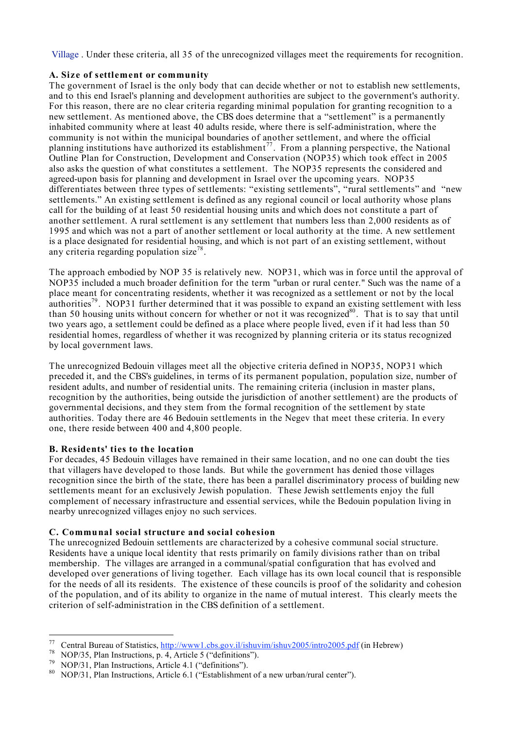Village . Under these criteria, all 35 of the unrecognized villages meet the requirements for recognition.

## **A. Siz e of settlement or community**

The government of Israel is the only body that can decide whether or not to establish new settlements, and to this end Israel's planning and development authorities are subject to the government's authority. For this reason, there are no clear criteria regarding minimal population for granting recognition to a new settlement. As mentioned above, the CBS does determine that a "settlement" is a permanently inhabited community where at least 40 adults reside, where there is self-administration, where the community is not within the municipal boundaries of another settlement, and where the official planning institutions have authorized its establishment<sup>77</sup>. From a planning perspective, the National Outline Plan for Construction, Development and Conservation (NOP35) which took effect in 2005 also asks the question of what constitutes a settlement. The NOP35 represents the considered and agreed-upon basis for planning and development in Israel over the upcoming years. NOP35 differentiates between three types of settlements: "existing settlements", "rural settlements" and "new settlements." An existing settlement is defined as any regional council or local authority whose plans call for the building of at least 50 residential housing units and which does not constitute a part of another settlement. A rural settlement is any settlement that numbers less than 2,000 residents as of 1995 and which was not a part of another settlement or local authority at the time. A new settlement is a place designated for residential housing, and which is not part of an existing settlement, without any criteria regarding population size<sup>78</sup>.

The approach embodied by NOP 35 is relatively new. NOP31, which was in force until the approval of NOP35 included a much broader definition for the term "urban or rural center." Such was the name of a place meant for concentrating residents, whether it was recognized as a settlement or not by the local authorities<sup>79</sup>. NOP31 further determined that it was possible to expand an existing settlement with less than 50 housing units without concern for whether or not it was recognized<sup>80</sup>. That is to say that until two years ago, a settlement could be defined as a place where people lived, even if it had less than 50 residential homes, regardless of whether it was recognized by planning criteria or its status recognized by local government laws.

The unrecognized Bedouin villages meet all the objective criteria defined in NOP35, NOP31 which preceded it, and the CBS's guidelines, in terms of its permanent population, population size, number of resident adults, and number of residential units. The remaining criteria (inclusion in master plans, recognition by the authorities, being outside the jurisdiction of another settlement) are the products of governmental decisions, and they stem from the formal recognition of the settlement by state authorities. Today there are 46 Bedouin settlements in the Negev that meet these criteria. In every one, there reside between 400 and 4,800 people.

# **B. Residents' ties to the location**

For decades, 45 Bedouin villages have remained in their same location, and no one can doubt the ties that villagers have developed to those lands. But while the government has denied those villages recognition since the birth of the state, there has been a parallel discriminatory process of building new settlements meant for an exclusively Jewish population. These Jewish settlements enjoy the full complement of necessary infrastructure and essential services, while the Bedouin population living in nearby unrecognized villages enjoy no such services.

# **C. Communal social structure and social cohesion**

The unrecognized Bedouin settlements are characterized by a cohesive communal social structure. Residents have a unique local identity that rests primarily on family divisions rather than on tribal membership. The villages are arranged in a communal/spatial configuration that has evolved and developed over generations of living together. Each village has its own local council that is responsible for the needs of all its residents. The existence of these councils is proof of the solidarity and cohesion of the population, and of its ability to organize in the name of mutual interest. This clearly meets the criterion of self-administration in the CBS definition of a settlement.

<sup>&</sup>lt;sup>77</sup> Central Bureau of Statistics,  $\frac{http://www1.cbs.gov.i1/ishuvim/ishuv2005/intro2005.pdf}{\text{NOP/35}}$  (in Hebrew)<br><sup>78</sup> NOP/35, Plan Instructions, p. 4, Article 5 ("definitions").<br><sup>79</sup> NOP/31, Plan Instructions, Article 4.1 ("definitions").<br><sup>80</sup>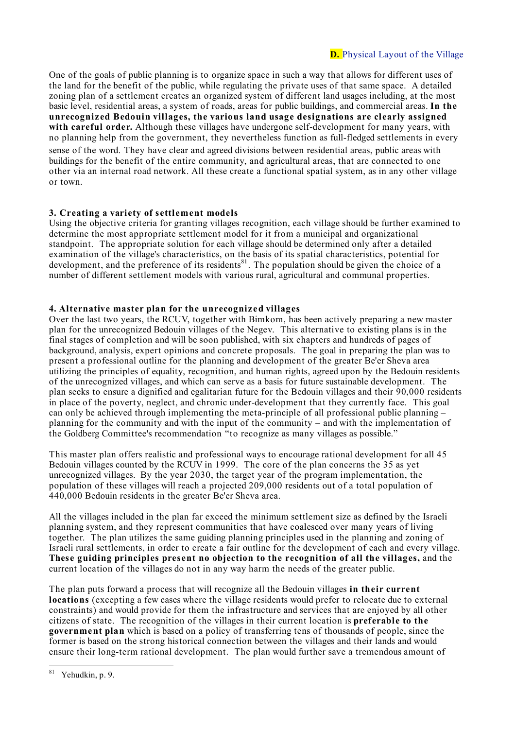One of the goals of public planning is to organize space in such a way that allows for different uses of the land for the benefit of the public, while regulating the private uses of that same space. A detailed zoning plan of a settlement creates an organized system of different land usages including, at the most basic level, residential areas, a system of roads, areas for public buildings, and commercial areas. **In the unrecogniz ed Bedouin villages, the various land usage designations are clearly assigned with careful order.** Although these villages have undergone self-development for many years, with no planning help from the government, they nevertheless function as full-fledged settlements in every sense of the word. They have clear and agreed divisions between residential areas, public areas with buildings for the benefit of the entire community, and agricultural areas, that are connected to one other via an internal road network. All these create a functional spatial system, as in any other village or town.

## **3. Creating a variety of settlement models**

Using the objective criteria for granting villages recognition, each village should be further examined to determine the most appropriate settlement model for it from a municipal and organizational standpoint. The appropriate solution for each village should be determined only after a detailed examination of the village's characteristics, on the basis of its spatial characteristics, potential for development, and the preference of its residents<sup>81</sup>. The population should be given the choice of a number of different settlement models with various rural, agricultural and communal properties.

## **4. Alternative master plan for the unrecogniz ed villages**

Over the last two years, the RCUV, together with Bimkom, has been actively preparing a new master plan for the unrecognized Bedouin villages of the Negev. This alternative to existing plans is in the final stages of completion and will be soon published, with six chapters and hundreds of pages of background, analysis, expert opinions and concrete proposals. The goal in preparing the plan was to present a professional outline for the planning and development of the greater Be'er Sheva area utilizing the principles of equality, recognition, and human rights, agreed upon by the Bedouin residents of the unrecognized villages, and which can serve as a basis for future sustainable development. The plan seeks to ensure a dignified and egalitarian future for the Bedouin villages and their 90,000 residents in place of the poverty, neglect, and chronic under-development that they currently face. This goal can only be achieved through implementing the meta-principle of all professional public planning – planning for the community and with the input of the community – and with the implementation of the Goldberg Committee's recommendation "to recognize as many villages as possible."

This master plan offers realistic and professional ways to encourage rational development for all 45 Bedouin villages counted by the RCUV in 1999. The core of the plan concerns the 35 as yet unrecognized villages. By the year 2030, the target year of the program implementation, the population of these villages will reach a projected 209,000 residents out of a total population of 440,000 Bedouin residents in the greater Be'er Sheva area.

All the villages included in the plan far exceed the minimum settlement size as defined by the Israeli planning system, and they represent communities that have coalesced over many years of living together. The plan utilizes the same guiding planning principles used in the planning and zoning of Israeli rural settlements, in order to create a fair outline for the development of each and every village. **These guiding principles present no objection to the recognition of all the villages,** and the current location of the villages do not in any way harm the needs of the greater public.

The plan puts forward a process that will recognize all the Bedouin villages **in their current locations** (excepting a few cases where the village residents would prefer to relocate due to external constraints) and would provide for them the infrastructure and services that are enjoyed by all other citizens of state. The recognition of the villages in their current location is **preferable to the government plan** which is based on a policy of transferring tens of thousands of people, since the former is based on the strong historical connection between the villages and their lands and would ensure their long-term rational development. The plan would further save a tremendous amount of

 <sup>81</sup> Yehudkin, p. 9.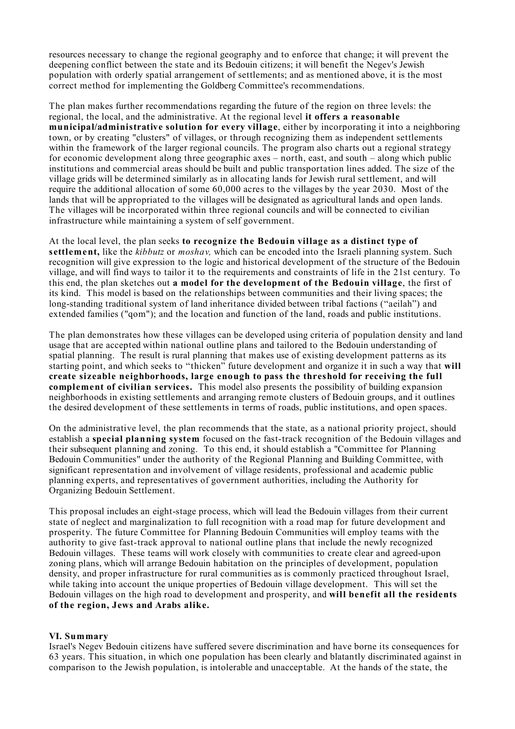resources necessary to change the regional geography and to enforce that change; it will prevent the deepening conflict between the state and its Bedouin citizens; it will benefit the Negev's Jewish population with orderly spatial arrangement of settlements; and as mentioned above, it is the most correct method for implementing the Goldberg Committee's recommendations.

The plan makes further recommendations regarding the future of the region on three levels: the regional, the local, and the administrative. At the regional level **it offers a reasonable municipal/administrative solution for every village**, either by incorporating it into a neighboring town, or by creating "clusters" of villages, or through recognizing them as independent settlements within the framework of the larger regional councils. The program also charts out a regional strategy for economic development along three geographic axes – north, east, and south – along which public institutions and commercial areas should be built and public transportation lines added. The size of the village grids will be determined similarly as in allocating lands for Jewish rural settlement, and will require the additional allocation of some 60,000 acres to the villages by the year 2030. Most of the lands that will be appropriated to the villages will be designated as agricultural lands and open lands. The villages will be incorporated within three regional councils and will be connected to civilian infrastructure while maintaining a system of self government.

At the local level, the plan seeks **to recogniz e the Bedouin village as a distinct type of settlement,** like the *kibbutz* or *moshav,* which can be encoded into the Israeli planning system. Such recognition will give expression to the logic and historical development of the structure of the Bedouin village, and will find ways to tailor it to the requirements and constraints of life in the 21st century. To this end, the plan sketches out **a model for the development of the Bedouin village**, the first of its kind. This model is based on the relationships between communities and their living spaces; the long-standing traditional system of land inheritance divided between tribal factions ("aeilah") and extended families ("qom"); and the location and function of the land, roads and public institutions.

The plan demonstrates how these villages can be developed using criteria of population density and land usage that are accepted within national outline plans and tailored to the Bedouin understanding of spatial planning. The result is rural planning that makes use of existing development patterns as its starting point, and which seeks to "thicken" future development and organize it in such a way that **will create sizeable neighborhoods, large enough to pass the threshold for receiving the full complement of civilian services.** This model also presents the possibility of building expansion neighborhoods in existing settlements and arranging remote clusters of Bedouin groups, and it outlines the desired development of these settlements in terms of roads, public institutions, and open spaces.

On the administrative level, the plan recommends that the state, as a national priority project, should establish a **special planning system** focused on the fast-track recognition of the Bedouin villages and their subsequent planning and zoning. To this end, it should establish a "Committee for Planning Bedouin Communities" under the authority of the Regional Planning and Building Committee, with significant representation and involvement of village residents, professional and academic public planning experts, and representatives of government authorities, including the Authority for Organizing Bedouin Settlement.

This proposal includes an eight-stage process, which will lead the Bedouin villages from their current state of neglect and marginalization to full recognition with a road map for future development and prosperity. The future Committee for Planning Bedouin Communities will employ teams with the authority to give fast-track approval to national outline plans that include the newly recognized Bedouin villages. These teams will work closely with communities to create clear and agreed-upon zoning plans, which will arrange Bedouin habitation on the principles of development, population density, and proper infrastructure for rural communities as is commonly practiced throughout Israel, while taking into account the unique properties of Bedouin village development. This will set the Bedouin villages on the high road to development and prosperity, and **will benefit all the residents of the region, Jews and Arabs alike.**

## **VI. Summary**

Israel's Negev Bedouin citizens have suffered severe discrimination and have borne its consequences for 63 years. This situation, in which one population has been clearly and blatantly discriminated against in comparison to the Jewish population, is intolerable and unacceptable. At the hands of the state, the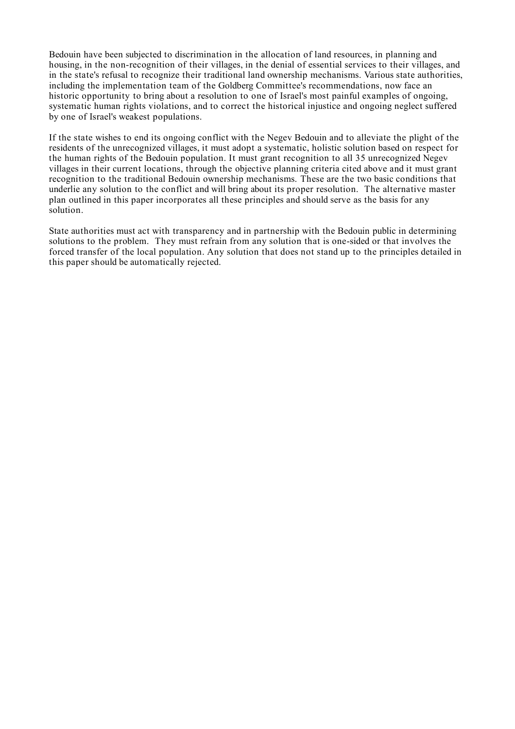Bedouin have been subjected to discrimination in the allocation of land resources, in planning and housing, in the non-recognition of their villages, in the denial of essential services to their villages, and in the state's refusal to recognize their traditional land ownership mechanisms. Various state authorities, including the implementation team of the Goldberg Committee's recommendations, now face an historic opportunity to bring about a resolution to one of Israel's most painful examples of ongoing, systematic human rights violations, and to correct the historical injustice and ongoing neglect suffered by one of Israel's weakest populations.

If the state wishes to end its ongoing conflict with the Negev Bedouin and to alleviate the plight of the residents of the unrecognized villages, it must adopt a systematic, holistic solution based on respect for the human rights of the Bedouin population. It must grant recognition to all 35 unrecognized Negev villages in their current locations, through the objective planning criteria cited above and it must grant recognition to the traditional Bedouin ownership mechanisms. These are the two basic conditions that underlie any solution to the conflict and will bring about its proper resolution. The alternative master plan outlined in this paper incorporates all these principles and should serve as the basis for any solution.

State authorities must act with transparency and in partnership with the Bedouin public in determining solutions to the problem. They must refrain from any solution that is one-sided or that involves the forced transfer of the local population. Any solution that does not stand up to the principles detailed in this paper should be automatically rejected.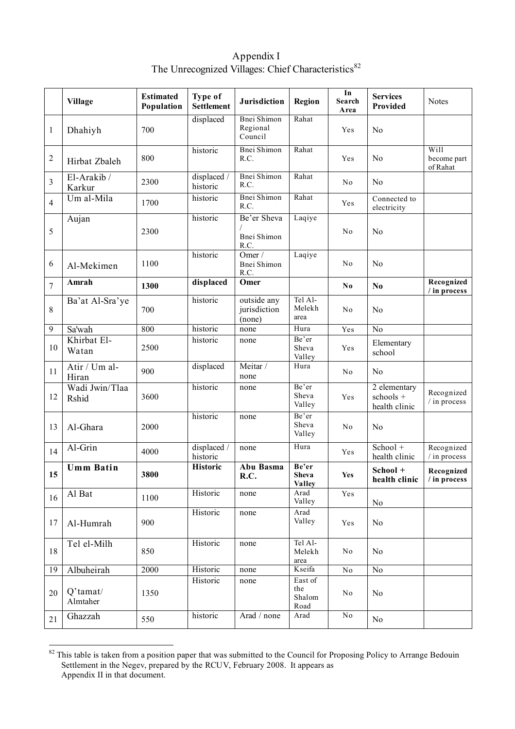Appendix I The Unrecognized Villages: Chief Characteristics<sup>82</sup>

|                | <b>Village</b>          | <b>Estimated</b><br>Population | Type of<br><b>Settlement</b> | <b>Jurisdiction</b>                               | <b>Region</b>                    | In<br><b>Search</b><br>Area | <b>Services</b><br>Provided                             | <b>Notes</b>                    |
|----------------|-------------------------|--------------------------------|------------------------------|---------------------------------------------------|----------------------------------|-----------------------------|---------------------------------------------------------|---------------------------------|
| 1              | Dhahiyh                 | 700                            | displaced                    | <b>Bnei Shimon</b><br>Regional<br>Council         | Rahat                            | Yes                         | N <sub>0</sub>                                          |                                 |
| 2              | Hirbat Zbaleh           | 800                            | historic                     | <b>Bnei Shimon</b><br>R.C.                        | Rahat                            | Yes                         | N <sub>0</sub>                                          | Will<br>become part<br>of Rahat |
| 3              | El-Arakib/<br>Karkur    | 2300                           | displaced /<br>historic      | <b>Bnei Shimon</b><br>R.C.                        | Rahat                            | No                          | N <sub>0</sub>                                          |                                 |
| $\overline{4}$ | Um al-Mila              | 1700                           | historic                     | <b>Bnei Shimon</b><br>R.C.                        | Rahat                            | Yes                         | Connected to<br>electricity                             |                                 |
| 5              | Aujan                   | 2300                           | historic                     | Be'er Sheva<br>Bnei Shimon<br>R.C.                | Laqiye                           | No                          | N <sub>o</sub>                                          |                                 |
| 6              | Al-Mekimen              | 1100                           | historic                     | $\overline{\text{Omer}}$ /<br>Bnei Shimon<br>R.C. | Laqiye                           | N <sub>0</sub>              | N <sub>0</sub>                                          |                                 |
| $\tau$         | Amrah                   | 1300                           | displaced                    | Omer                                              |                                  | No                          | N <sub>0</sub>                                          | Recognized<br>/ in process      |
| 8              | Ba'at Al-Sra'ye         | 700                            | historic                     | outside any<br>jurisdiction<br>(none)             | Tel Al-<br>Melekh<br>area        | No                          | N <sub>0</sub>                                          |                                 |
| 9              | Sa'wah                  | 800                            | historic                     | none                                              | Hura                             | Yes                         | N <sub>o</sub>                                          |                                 |
| 10             | Khirbat El-<br>Watan    | 2500                           | historic                     | none                                              | Be'er<br>Sheva<br>Valley         | Yes                         | Elementary<br>school                                    |                                 |
| 11             | Atir / Um al-<br>Hiran  | 900                            | displaced                    | Meitar /<br>none                                  | Hura                             | No                          | N <sub>0</sub>                                          |                                 |
| 12             | Wadi Jwin/Tlaa<br>Rshid | 3600                           | historic                     | none                                              | Be'er<br>Sheva<br>Valley         | Yes                         | $\overline{2}$ elementary<br>schools +<br>health clinic | Recognized<br>/ in process      |
| 13             | Al-Ghara                | 2000                           | historic                     | none                                              | Be'er<br>Sheva<br>Valley         | No                          | No                                                      |                                 |
| 14             | Al-Grin                 | 4000                           | displaced /<br>historic      | none                                              | Hura                             | Yes                         | School +<br>health clinic                               | Recognized<br>$/$ in process    |
| 15             | <b>Umm Batin</b>        | 3800                           | <b>Historic</b>              | Abu Basma<br>R.C.                                 | Be'er<br>Sheva<br><b>Valley</b>  | Yes                         | School +<br>health clinic                               | Recognized<br>/ in process      |
| 16             | Al Bat                  | 1100                           | Historic                     | none                                              | Arad<br>Valley                   | Yes                         | N <sub>0</sub>                                          |                                 |
| 17             | Al-Humrah               | 900                            | Historic                     | none                                              | Arad<br>Valley                   | Yes                         | N <sub>0</sub>                                          |                                 |
| 18             | Tel el-Milh             | 850                            | Historic                     | none                                              | Tel Al-<br>Melekh<br>area        | N <sub>0</sub>              | N <sub>0</sub>                                          |                                 |
| 19             | Albuheirah              | 2000                           | Historic                     | none                                              | Kseifa                           | N <sub>0</sub>              | N <sub>0</sub>                                          |                                 |
| 20             | $Q'$ tamat/<br>Almtaher | 1350                           | Historic                     | none                                              | East of<br>the<br>Shalom<br>Road | N <sub>0</sub>              | N <sub>0</sub>                                          |                                 |
| 21             | Ghazzah                 | 550                            | historic                     | Arad / none                                       | Arad                             | $\rm No$                    | N <sub>0</sub>                                          |                                 |

 $\frac{82}{100}$  This table is taken from a position paper that was submitted to the Council for Proposing Policy to Arrange Bedouin Settlement in the Negev, prepared by the RCUV, February 2008. It appears as Appendix II in that document.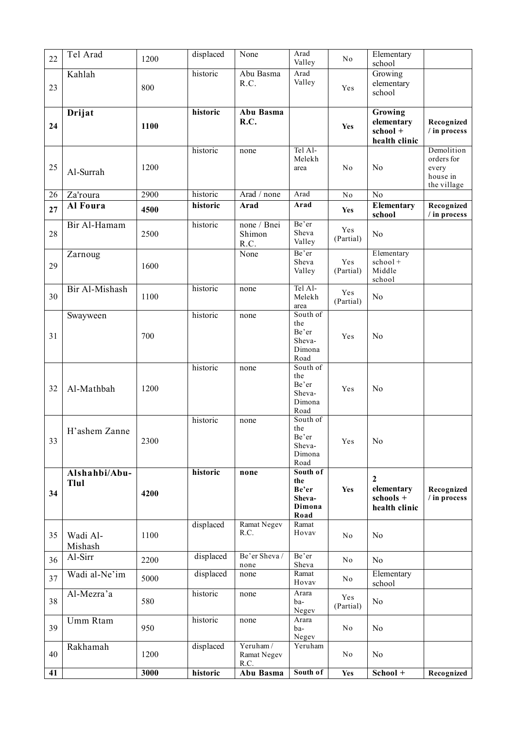| 22 | Tel Arad              | 1200 | displaced | None                            | Arad<br>Valley                                       | N <sub>0</sub>   | Elementary<br>school                                       |                                                              |
|----|-----------------------|------|-----------|---------------------------------|------------------------------------------------------|------------------|------------------------------------------------------------|--------------------------------------------------------------|
| 23 | Kahlah                | 800  | historic  | Abu Basma<br>R.C.               | Arad<br>Valley                                       | Yes              | Growing<br>elementary<br>school                            |                                                              |
| 24 | Drijat                | 1100 | historic  | Abu Basma<br>R.C.               |                                                      | Yes              | Growing<br>elementary<br>school +<br>health clinic         | Recognized<br>/ in process                                   |
| 25 | Al-Surrah             | 1200 | historic  | none                            | Tel Al-<br>Melekh<br>area                            | No               | N <sub>0</sub>                                             | Demolition<br>orders for<br>every<br>house in<br>the village |
| 26 | Za'roura              | 2900 | historic  | Arad / none                     | Arad                                                 | No               | N <sub>o</sub>                                             |                                                              |
| 27 | Al Foura              | 4500 | historic  | Arad                            | Arad                                                 | Yes              | Elementary<br>school                                       | Recognized<br>/ in process                                   |
| 28 | Bir Al-Hamam          | 2500 | historic  | none / Bnei<br>Shimon<br>R.C.   | Be'er<br>Sheva<br>Valley                             | Yes<br>(Partial) | N <sub>0</sub>                                             |                                                              |
| 29 | Zarnoug               | 1600 |           | None                            | Be'er<br>Sheva<br>Valley                             | Yes<br>(Partial) | Elementary<br>$school +$<br>Middle<br>school               |                                                              |
| 30 | Bir Al-Mishash        | 1100 | historic  | none                            | Tel Al-<br>Melekh<br>area                            | Yes<br>(Partial) | N <sub>0</sub>                                             |                                                              |
| 31 | Swayween              | 700  | historic  | none                            | South of<br>the<br>Be'er<br>Sheva-<br>Dimona<br>Road | Yes              | N <sub>0</sub>                                             |                                                              |
| 32 | Al-Mathbah            | 1200 | historic  | none                            | South of<br>the<br>Be'er<br>Sheva-<br>Dimona<br>Road | Yes              | N <sub>0</sub>                                             |                                                              |
| 33 | H'ashem Zanne         | 2300 | historic  | none                            | South of<br>the<br>Be'er<br>Sheva-<br>Dimona<br>Road | Yes              | No                                                         |                                                              |
| 34 | Alshahbi/Abu-<br>Tlul | 4200 | historic  | none                            | South of<br>the<br>Be'er<br>Sheva-<br>Dimona<br>Road | <b>Yes</b>       | $\overline{2}$<br>elementary<br>schools +<br>health clinic | Recognized<br>/ in process                                   |
| 35 | Wadi Al-<br>Mishash   | 1100 | displaced | Ramat Negev<br>R.C.             | Ramat<br>Hovav                                       | N <sub>0</sub>   | No                                                         |                                                              |
| 36 | Al-Sirr               | 2200 | displaced | Be'er Sheva /<br>none           | Be'er<br>Sheva                                       | N <sub>0</sub>   | N <sub>0</sub>                                             |                                                              |
| 37 | Wadi al-Ne'im         | 5000 | displaced | none                            | Ramat<br>Hovav                                       | No               | Elementary<br>school                                       |                                                              |
| 38 | Al-Mezra'a            | 580  | historic  | none                            | Arara<br>ba-<br>Negev                                | Yes<br>(Partial) | N <sub>0</sub>                                             |                                                              |
| 39 | Umm Rtam              | 950  | historic  | none                            | Arara<br>ba-<br>Negev                                | N <sub>0</sub>   | N <sub>0</sub>                                             |                                                              |
| 40 | Rakhamah              | 1200 | displaced | Yeruham/<br>Ramat Negev<br>R.C. | Yeruham                                              | N <sub>0</sub>   | N <sub>0</sub>                                             |                                                              |
| 41 |                       | 3000 | historic  | <b>Abu Basma</b>                | South of                                             | <b>Yes</b>       | School +                                                   | Recognized                                                   |